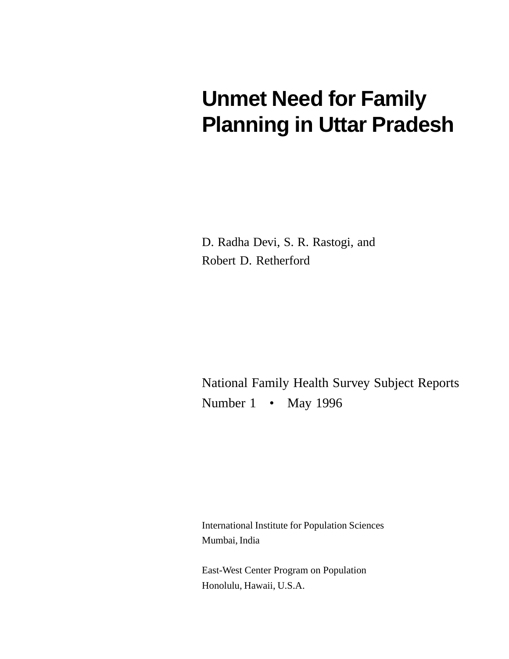# **Unmet Need for Family Planning in Uttar Pradesh**

D. Radha Devi, S. R. Rastogi, and Robert D. Retherford

National Family Health Survey Subject Reports Number 1 • May 1996

International Institute for Population Sciences Mumbai, India

East-West Center Program on Population Honolulu, Hawaii, U.S.A.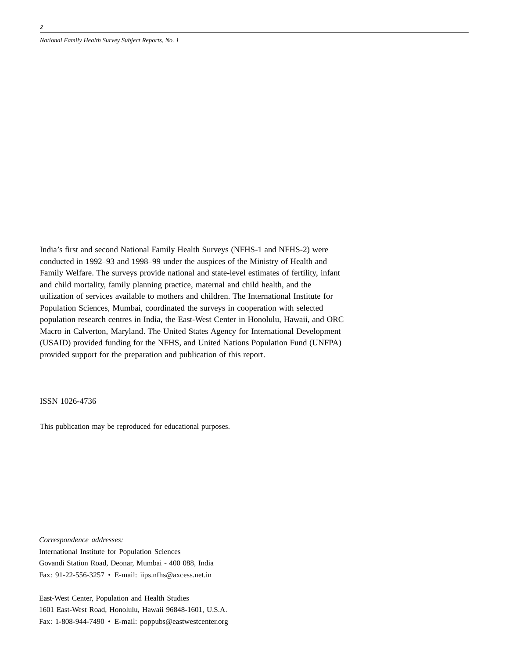*National Family Health Survey Subject Reports, No. 1*

India's first and second National Family Health Surveys (NFHS-1 and NFHS-2) were conducted in 1992–93 and 1998–99 under the auspices of the Ministry of Health and Family Welfare. The surveys provide national and state-level estimates of fertility, infant and child mortality, family planning practice, maternal and child health, and the utilization of services available to mothers and children. The International Institute for Population Sciences, Mumbai, coordinated the surveys in cooperation with selected population research centres in India, the East-West Center in Honolulu, Hawaii, and ORC Macro in Calverton, Maryland. The United States Agency for International Development (USAID) provided funding for the NFHS, and United Nations Population Fund (UNFPA) provided support for the preparation and publication of this report.

ISSN 1026-4736

This publication may be reproduced for educational purposes.

*Correspondence addresses:* International Institute for Population Sciences Govandi Station Road, Deonar, Mumbai - 400 088, India Fax: 91-22-556-3257 • E-mail: iips.nfhs@axcess.net.in

East-West Center, Population and Health Studies 1601 East-West Road, Honolulu, Hawaii 96848-1601, U.S.A. Fax: 1-808-944-7490 • E-mail: poppubs@eastwestcenter.org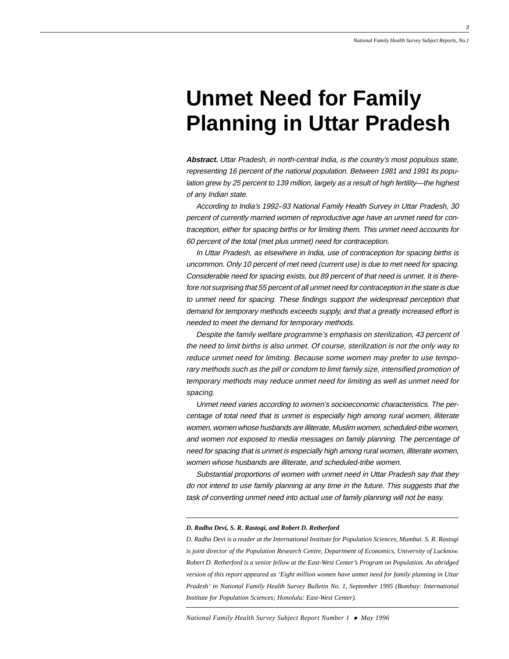3

# **Unmet Need for Family Planning in Uttar Pradesh**

**Abstract.** Uttar Pradesh, in north-central India, is the country's most populous state, representing 16 percent of the national population. Between 1981 and 1991 its population grew by 25 percent to 139 million, largely as a result of high fertility—the highest of any Indian state.

According to India's 1992–93 National Family Health Survey in Uttar Pradesh, 30 percent of currently married women of reproductive age have an unmet need for contraception, either for spacing births or for limiting them. This unmet need accounts for 60 percent of the total (met plus unmet) need for contraception.

In Uttar Pradesh, as elsewhere in India, use of contraception for spacing births is uncommon. Only 10 percent of met need (current use) is due to met need for spacing. Considerable need for spacing exists, but 89 percent of that need is unmet. It is therefore not surprising that 55 percent of all unmet need for contraception in the state is due to unmet need for spacing. These findings support the widespread perception that demand for temporary methods exceeds supply, and that a greatly increased effort is needed to meet the demand for temporary methods.

Despite the family welfare programme's emphasis on sterilization, 43 percent of the need to limit births is also unmet. Of course, sterilization is not the only way to reduce unmet need for limiting. Because some women may prefer to use temporary methods such as the pill or condom to limit family size, intensified promotion of temporary methods may reduce unmet need for limiting as well as unmet need for spacing.

Unmet need varies according to women's socioeconomic characteristics. The percentage of total need that is unmet is especially high among rural women, illiterate women, women whose husbands are illiterate, Muslim women, scheduled-tribe women, and women not exposed to media messages on family planning. The percentage of need for spacing that is unmet is especially high among rural women, illiterate women, women whose husbands are illiterate, and scheduled-tribe women.

Substantial proportions of women with unmet need in Uttar Pradesh say that they do not intend to use family planning at any time in the future. This suggests that the task of converting unmet need into actual use of family planning will not be easy.

#### *D. Radha Devi, S. R. Rastogi, and Robert D. Retherford*

*D. Radha Devi is a reader at the International Institute for Population Sciences, Mumbai. S. R. Rastogi is joint director of the Population Research Centre, Department of Economics, University of Lucknow. Robert D. Retherford is a senior fellow at the East-West Center's Program on Population. An abridged version of this report appeared as 'Eight million women have unmet need for family planning in Uttar Pradesh' in National Family Health Survey Bulletin No. 1, September 1995 (Bombay: International Institute for Population Sciences; Honolulu: East-West Center).*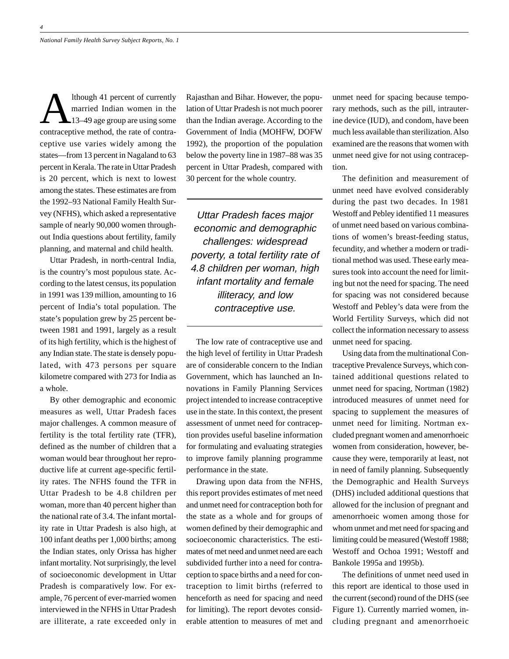Ithough 41 percent of currently<br>married Indian women in the<br>13–49 age group are using some<br>contracentive method, the rate of contra married Indian women in the 13–49 age group are using some contraceptive method, the rate of contraceptive use varies widely among the states—from 13 percent in Nagaland to 63 percent in Kerala. The rate in Uttar Pradesh is 20 percent, which is next to lowest among the states. These estimates are from the 1992–93 National Family Health Survey (NFHS), which asked a representative sample of nearly 90,000 women throughout India questions about fertility, family planning, and maternal and child health.

Uttar Pradesh, in north-central India, is the country's most populous state. According to the latest census, its population in 1991 was 139 million, amounting to 16 percent of India's total population. The state's population grew by 25 percent between 1981 and 1991, largely as a result of its high fertility, which is the highest of any Indian state. The state is densely populated, with 473 persons per square kilometre compared with 273 for India as a whole.

By other demographic and economic measures as well, Uttar Pradesh faces major challenges. A common measure of fertility is the total fertility rate (TFR), defined as the number of children that a woman would bear throughout her reproductive life at current age-specific fertility rates. The NFHS found the TFR in Uttar Pradesh to be 4.8 children per woman, more than 40 percent higher than the national rate of 3.4. The infant mortality rate in Uttar Pradesh is also high, at 100 infant deaths per 1,000 births; among the Indian states, only Orissa has higher infant mortality. Not surprisingly, the level of socioeconomic development in Uttar Pradesh is comparatively low. For example, 76 percent of ever-married women interviewed in the NFHS in Uttar Pradesh are illiterate, a rate exceeded only in Rajasthan and Bihar. However, the population of Uttar Pradesh is not much poorer than the Indian average. According to the Government of India (MOHFW, DOFW 1992), the proportion of the population below the poverty line in 1987–88 was 35 percent in Uttar Pradesh, compared with 30 percent for the whole country.

Uttar Pradesh faces major economic and demographic challenges: widespread poverty, a total fertility rate of 4.8 children per woman, high infant mortality and female illiteracy, and low contraceptive use.

The low rate of contraceptive use and the high level of fertility in Uttar Pradesh are of considerable concern to the Indian Government, which has launched an Innovations in Family Planning Services project intended to increase contraceptive use in the state. In this context, the present assessment of unmet need for contraception provides useful baseline information for formulating and evaluating strategies to improve family planning programme performance in the state.

Drawing upon data from the NFHS, this report provides estimates of met need and unmet need for contraception both for the state as a whole and for groups of women defined by their demographic and socioeconomic characteristics. The estimates of met need and unmet need are each subdivided further into a need for contraception to space births and a need for contraception to limit births (referred to henceforth as need for spacing and need for limiting). The report devotes considerable attention to measures of met and

unmet need for spacing because temporary methods, such as the pill, intrauterine device (IUD), and condom, have been much less available than sterilization. Also examined are the reasons that women with unmet need give for not using contraception.

The definition and measurement of unmet need have evolved considerably during the past two decades. In 1981 Westoff and Pebley identified 11 measures of unmet need based on various combinations of women's breast-feeding status, fecundity, and whether a modern or traditional method was used. These early measures took into account the need for limiting but not the need for spacing. The need for spacing was not considered because Westoff and Pebley's data were from the World Fertility Surveys, which did not collect the information necessary to assess unmet need for spacing.

Using data from the multinational Contraceptive Prevalence Surveys, which contained additional questions related to unmet need for spacing, Nortman (1982) introduced measures of unmet need for spacing to supplement the measures of unmet need for limiting. Nortman excluded pregnant women and amenorrhoeic women from consideration, however, because they were, temporarily at least, not in need of family planning. Subsequently the Demographic and Health Surveys (DHS) included additional questions that allowed for the inclusion of pregnant and amenorrhoeic women among those for whom unmet and met need for spacing and limiting could be measured (Westoff 1988; Westoff and Ochoa 1991; Westoff and Bankole 1995a and 1995b).

The definitions of unmet need used in this report are identical to those used in the current (second) round of the DHS (see Figure 1). Currently married women, including pregnant and amenorrhoeic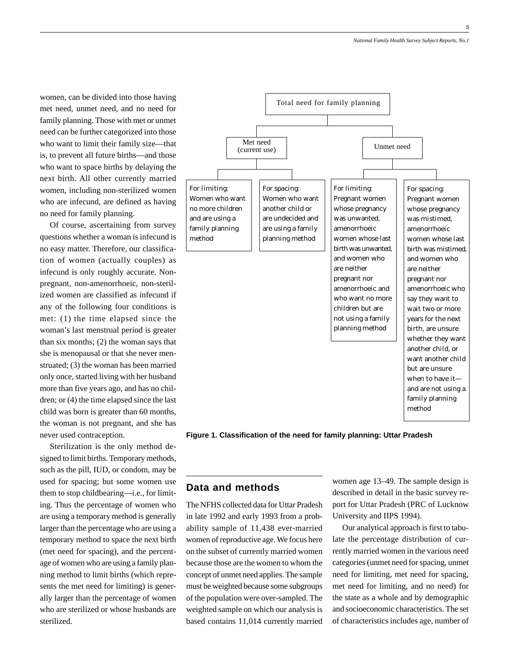women, can be divided into those having met need, unmet need, and no need for family planning. Those with met or unmet need can be further categorized into those who want to limit their family size—that is, to prevent all future births—and those who want to space births by delaying the next birth. All other currently married women, including non-sterilized women who are infecund, are defined as having no need for family planning.

Of course, ascertaining from survey questions whether a woman is infecund is no easy matter. Therefore, our classification of women (actually couples) as infecund is only roughly accurate. Nonpregnant, non-amenorrhoeic, non-sterilized women are classified as infecund if any of the following four conditions is met: (1) the time elapsed since the woman's last menstrual period is greater than six months; (2) the woman says that she is menopausal or that she never menstruated; (3) the woman has been married only once, started living with her husband more than five years ago, and has no children; or (4) the time elapsed since the last child was born is greater than 60 months, the woman is not pregnant, and she has never used contraception.

Sterilization is the only method designed to limit births. Temporary methods, such as the pill, IUD, or condom, may be used for spacing; but some women use them to stop childbearing—i.e., for limiting. Thus the percentage of women who are using a temporary method is generally larger than the percentage who are using a temporary method to space the next birth (met need for spacing), and the percentage of women who are using a family planning method to limit births (which represents the met need for limiting) is generally larger than the percentage of women who are sterilized or whose husbands are sterilized.



**Figure 1. Classification of the need for family planning: Uttar Pradesh**

## **Data and methods**

The NFHS collected data for Uttar Pradesh in late 1992 and early 1993 from a probability sample of 11,438 ever-married women of reproductive age. We focus here on the subset of currently married women because those are the women to whom the concept of unmet need applies. The sample must be weighted because some subgroups of the population were over-sampled. The weighted sample on which our analysis is based contains 11,014 currently married

women age 13–49. The sample design is described in detail in the basic survey report for Uttar Pradesh (PRC of Lucknow University and IIPS 1994).

Our analytical approach is first to tabulate the percentage distribution of currently married women in the various need categories (unmet need for spacing, unmet need for limiting, met need for spacing, met need for limiting, and no need) for the state as a whole and by demographic and socioeconomic characteristics. The set of characteristics includes age, number of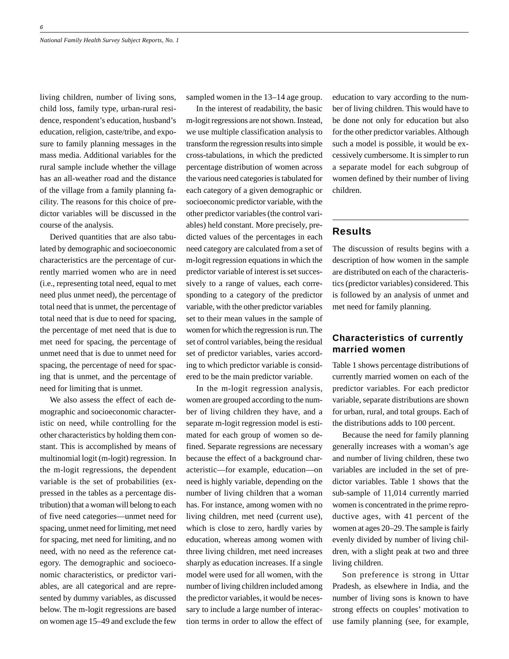living children, number of living sons, child loss, family type, urban-rural residence, respondent's education, husband's education, religion, caste/tribe, and exposure to family planning messages in the mass media. Additional variables for the rural sample include whether the village has an all-weather road and the distance of the village from a family planning facility. The reasons for this choice of predictor variables will be discussed in the course of the analysis.

Derived quantities that are also tabulated by demographic and socioeconomic characteristics are the percentage of currently married women who are in need (i.e., representing total need, equal to met need plus unmet need), the percentage of total need that is unmet, the percentage of total need that is due to need for spacing, the percentage of met need that is due to met need for spacing, the percentage of unmet need that is due to unmet need for spacing, the percentage of need for spacing that is unmet, and the percentage of need for limiting that is unmet.

We also assess the effect of each demographic and socioeconomic characteristic on need, while controlling for the other characteristics by holding them constant. This is accomplished by means of multinomial logit (m-logit) regression. In the m-logit regressions, the dependent variable is the set of probabilities (expressed in the tables as a percentage distribution) that a woman will belong to each of five need categories—unmet need for spacing, unmet need for limiting, met need for spacing, met need for limiting, and no need, with no need as the reference category. The demographic and socioeconomic characteristics, or predictor variables, are all categorical and are represented by dummy variables, as discussed below. The m-logit regressions are based on women age 15–49 and exclude the few

sampled women in the 13–14 age group.

In the interest of readability, the basic m-logit regressions are not shown. Instead, we use multiple classification analysis to transform the regression results into simple cross-tabulations, in which the predicted percentage distribution of women across the various need categories is tabulated for each category of a given demographic or socioeconomic predictor variable, with the other predictor variables (the control variables) held constant. More precisely, predicted values of the percentages in each need category are calculated from a set of m-logit regression equations in which the predictor variable of interest is set successively to a range of values, each corresponding to a category of the predictor variable, with the other predictor variables set to their mean values in the sample of women for which the regression is run. The set of control variables, being the residual set of predictor variables, varies according to which predictor variable is considered to be the main predictor variable.

In the m-logit regression analysis, women are grouped according to the number of living children they have, and a separate m-logit regression model is estimated for each group of women so defined. Separate regressions are necessary because the effect of a background characteristic—for example, education—on need is highly variable, depending on the number of living children that a woman has. For instance, among women with no living children, met need (current use), which is close to zero, hardly varies by education, whereas among women with three living children, met need increases sharply as education increases. If a single model were used for all women, with the number of living children included among the predictor variables, it would be necessary to include a large number of interaction terms in order to allow the effect of

education to vary according to the number of living children. This would have to be done not only for education but also for the other predictor variables. Although such a model is possible, it would be excessively cumbersome. It is simpler to run a separate model for each subgroup of women defined by their number of living children.

## **Results**

The discussion of results begins with a description of how women in the sample are distributed on each of the characteristics (predictor variables) considered. This is followed by an analysis of unmet and met need for family planning.

## **Characteristics of currently married women**

Table 1 shows percentage distributions of currently married women on each of the predictor variables. For each predictor variable, separate distributions are shown for urban, rural, and total groups. Each of the distributions adds to 100 percent.

Because the need for family planning generally increases with a woman's age and number of living children, these two variables are included in the set of predictor variables. Table 1 shows that the sub-sample of 11,014 currently married women is concentrated in the prime reproductive ages, with 41 percent of the women at ages 20–29. The sample is fairly evenly divided by number of living children, with a slight peak at two and three living children.

Son preference is strong in Uttar Pradesh, as elsewhere in India, and the number of living sons is known to have strong effects on couples' motivation to use family planning (see, for example,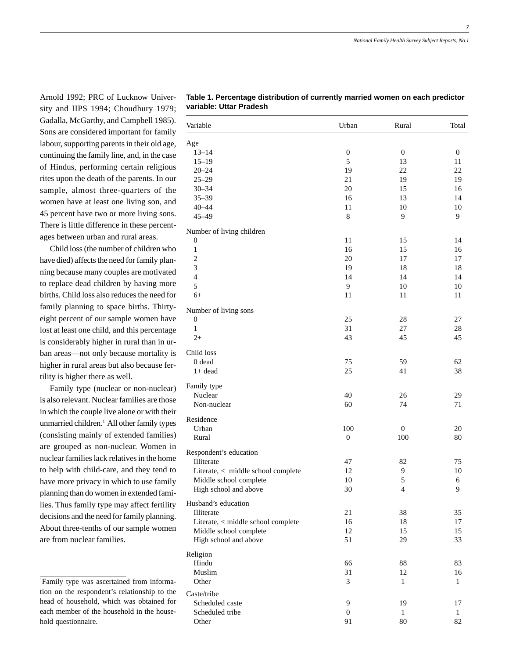7

Arnold 1992; PRC of Lucknow University and IIPS 1994; Choudhury 1979; Gadalla, McGarthy, and Campbell 1985). Sons are considered important for family labour, supporting parents in their old age, continuing the family line, and, in the case of Hindus, performing certain religious rites upon the death of the parents. In our sample, almost three-quarters of the women have at least one living son, and 45 percent have two or more living sons. There is little difference in these percentages between urban and rural areas.

Child loss (the number of children who have died) affects the need for family planning because many couples are motivated to replace dead children by having more births. Child loss also reduces the need for family planning to space births. Thirtyeight percent of our sample women have lost at least one child, and this percentage is considerably higher in rural than in urban areas—not only because mortality is higher in rural areas but also because fertility is higher there as well.

Family type (nuclear or non-nuclear) is also relevant. Nuclear families are those in which the couple live alone or with their unmarried children. $<sup>1</sup>$  All other family types</sup> (consisting mainly of extended families) are grouped as non-nuclear. Women in nuclear families lack relatives in the home to help with child-care, and they tend to have more privacy in which to use family planning than do women in extended families. Thus family type may affect fertility decisions and the need for family planning. About three-tenths of our sample women are from nuclear families.

1 Family type was ascertained from information on the respondent's relationship to the head of household, which was obtained for each member of the household in the household questionnaire.

| Variable                           | Urban            | Rural        | Total            |
|------------------------------------|------------------|--------------|------------------|
| Age                                |                  |              |                  |
| $13 - 14$                          | $\boldsymbol{0}$ | 0            | $\boldsymbol{0}$ |
| $15 - 19$                          | 5                | 13           | 11               |
| $20 - 24$                          | 19               | 22           | 22               |
| $25 - 29$                          | 21               | 19           | 19               |
| $30 - 34$                          | 20               | 15           | 16               |
| $35 - 39$                          | 16               | 13           | 14               |
| $40 - 44$                          | 11               | 10           | 10               |
| $45 - 49$                          | $\,8\,$          | 9            | 9                |
| Number of living children          |                  |              |                  |
| $\boldsymbol{0}$                   | 11               | 15           | 14               |
| $\mathbf{1}$                       | 16               | 15           | 16               |
| $\overline{c}$                     | 20               | 17           | 17               |
| 3                                  | 19               | 18           | 18               |
| $\overline{4}$                     | 14               | 14           | 14               |
| 5                                  | 9                | 10           | 10               |
| $6+$                               | 11               | 11           | 11               |
| Number of living sons              |                  |              |                  |
| $\boldsymbol{0}$                   | 25               | 28           | 27               |
| $\mathbf{1}$                       | 31               | 27           | 28               |
| $2+$                               | 43               | 45           | 45               |
| Child loss                         |                  |              |                  |
| 0 dead                             | 75               | 59           | 62               |
| $1+ dead$                          | 25               | 41           | 38               |
| Family type                        |                  |              |                  |
| Nuclear                            | 40               | 26           | 29               |
| Non-nuclear                        | 60               | 74           | 71               |
| Residence                          |                  |              |                  |
| Urban                              | 100              | $\mathbf{0}$ | 20               |
| Rural                              | $\boldsymbol{0}$ | 100          | 80               |
| Respondent's education             |                  |              |                  |
| Illiterate                         | 47               | 82           | 75               |
| Literate, < middle school complete | 12               | 9            | 10               |
| Middle school complete             | 10               | 5            | 6                |
| High school and above              | 30               | 4            | 9                |
| Husband's education                |                  |              |                  |
| Illiterate                         | 21               | 38           | 35               |
| Literate, < middle school complete | 16               | 18           | 17               |
| Middle school complete             | 12               | 15           | 15               |
| High school and above              | 51               | 29           | 33               |
| Religion                           |                  |              |                  |
| Hindu                              | 66               | 88           | 83               |
| Muslim                             | 31               | 12           | 16               |
| Other                              | 3                | 1            | 1                |
| Caste/tribe                        |                  |              |                  |
| Scheduled caste                    | 9                | 19           | 17               |
| Scheduled tribe                    | $\boldsymbol{0}$ | $\mathbf{1}$ | $\mathbf{1}$     |
| Other                              | 91               | 80           | 82               |

**Table 1. Percentage distribution of currently married women on each predictor variable: Uttar Pradesh**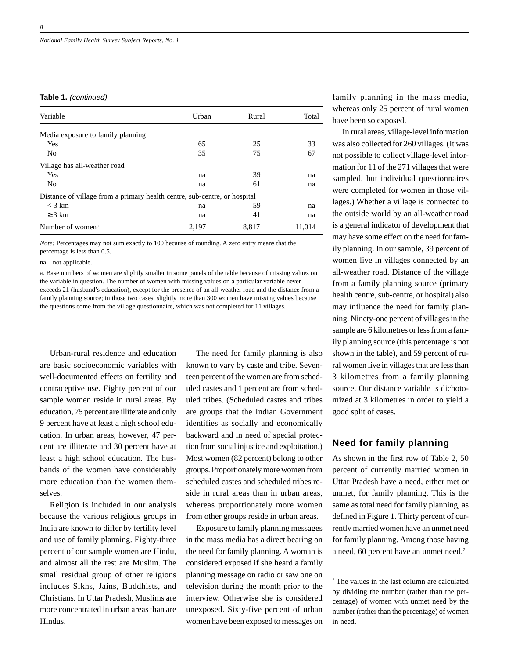#### **Table 1.** (continued)

| Variable                                                                  | Urban | Rural | Total  |
|---------------------------------------------------------------------------|-------|-------|--------|
| Media exposure to family planning                                         |       |       |        |
| Yes                                                                       | 65    | 25    | 33     |
| N <sub>0</sub>                                                            | 35    | 75    | 67     |
| Village has all-weather road                                              |       |       |        |
| Yes                                                                       | na    | 39    | na     |
| N <sub>0</sub>                                                            | na    | 61    | na     |
| Distance of village from a primary health centre, sub-centre, or hospital |       |       |        |
| $<$ 3 km                                                                  | na    | 59    | na     |
| $\geq$ 3 km                                                               | na    | 41    | na     |
| Number of women <sup>a</sup>                                              | 2.197 | 8.817 | 11.014 |

*Note:* Percentages may not sum exactly to 100 because of rounding. A zero entry means that the percentage is less than 0.5.

na—not applicable.

a. Base numbers of women are slightly smaller in some panels of the table because of missing values on the variable in question. The number of women with missing values on a particular variable never exceeds 21 (husband's education), except for the presence of an all-weather road and the distance from a family planning source; in those two cases, slightly more than 300 women have missing values because the questions come from the village questionnaire, which was not completed for 11 villages.

Urban-rural residence and education are basic socioeconomic variables with well-documented effects on fertility and contraceptive use. Eighty percent of our sample women reside in rural areas. By education, 75 percent are illiterate and only 9 percent have at least a high school education. In urban areas, however, 47 percent are illiterate and 30 percent have at least a high school education. The husbands of the women have considerably more education than the women themselves.

Religion is included in our analysis because the various religious groups in India are known to differ by fertility level and use of family planning. Eighty-three percent of our sample women are Hindu, and almost all the rest are Muslim. The small residual group of other religions includes Sikhs, Jains, Buddhists, and Christians. In Uttar Pradesh, Muslims are more concentrated in urban areas than are Hindus.

The need for family planning is also known to vary by caste and tribe. Seventeen percent of the women are from scheduled castes and 1 percent are from scheduled tribes. (Scheduled castes and tribes are groups that the Indian Government identifies as socially and economically backward and in need of special protection from social injustice and exploitation.) Most women (82 percent) belong to other groups. Proportionately more women from scheduled castes and scheduled tribes reside in rural areas than in urban areas, whereas proportionately more women from other groups reside in urban areas.

Exposure to family planning messages in the mass media has a direct bearing on the need for family planning. A woman is considered exposed if she heard a family planning message on radio or saw one on television during the month prior to the interview. Otherwise she is considered unexposed. Sixty-five percent of urban women have been exposed to messages on

family planning in the mass media, whereas only 25 percent of rural women have been so exposed.

In rural areas, village-level information was also collected for 260 villages. (It was not possible to collect village-level information for 11 of the 271 villages that were sampled, but individual questionnaires were completed for women in those villages.) Whether a village is connected to the outside world by an all-weather road is a general indicator of development that may have some effect on the need for family planning. In our sample, 39 percent of women live in villages connected by an all-weather road. Distance of the village from a family planning source (primary health centre, sub-centre, or hospital) also may influence the need for family planning. Ninety-one percent of villages in the sample are 6 kilometres or less from a family planning source (this percentage is not shown in the table), and 59 percent of rural women live in villages that are less than 3 kilometres from a family planning source. Our distance variable is dichotomized at 3 kilometres in order to yield a good split of cases.

## **Need for family planning**

As shown in the first row of Table 2, 50 percent of currently married women in Uttar Pradesh have a need, either met or unmet, for family planning. This is the same as total need for family planning, as defined in Figure 1. Thirty percent of currently married women have an unmet need for family planning. Among those having a need, 60 percent have an unmet need.<sup>2</sup>

<sup>2</sup> The values in the last column are calculated by dividing the number (rather than the percentage) of women with unmet need by the number (rather than the percentage) of women in need.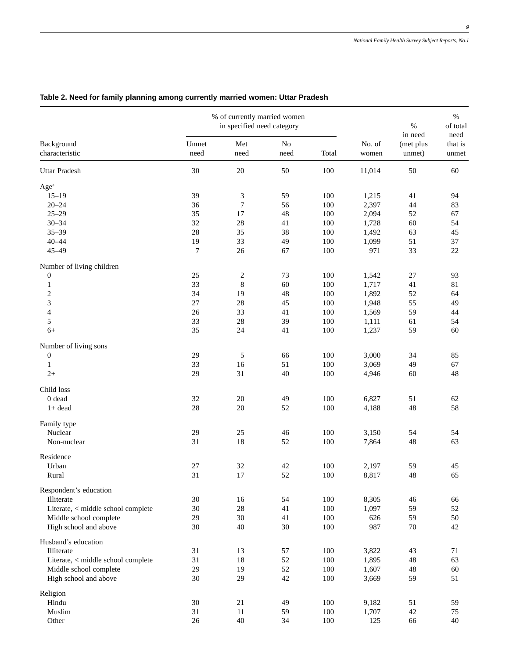|                                    |               | % of currently married women<br>in specified need category |                        |       |                 | $\%$                           | $\%$<br>of total         |
|------------------------------------|---------------|------------------------------------------------------------|------------------------|-------|-----------------|--------------------------------|--------------------------|
| Background<br>characteristic       | Unmet<br>need | Met<br>need                                                | N <sub>o</sub><br>need | Total | No. of<br>women | in need<br>(met plus<br>unmet) | need<br>that is<br>unmet |
| Uttar Pradesh                      | 30            | 20                                                         | 50                     | 100   | 11,014          | 50                             | 60                       |
| Age <sup>a</sup>                   |               |                                                            |                        |       |                 |                                |                          |
| $15 - 19$                          | 39            | $\ensuremath{\mathfrak{Z}}$                                | 59                     | 100   | 1,215           | 41                             | 94                       |
| $20 - 24$                          | 36            | 7                                                          | 56                     | 100   | 2,397           | 44                             | 83                       |
| $25 - 29$                          | 35            | 17                                                         | 48                     | 100   | 2,094           | 52                             | 67                       |
| $30 - 34$                          | 32            | 28                                                         | 41                     | 100   | 1,728           | 60                             | 54                       |
| $35 - 39$                          | $28\,$        | 35                                                         | 38                     | 100   | 1,492           | 63                             | 45                       |
| $40 - 44$                          | 19            | 33                                                         | 49                     | 100   | 1,099           | 51                             | 37                       |
| $45 - 49$                          | 7             | 26                                                         | 67                     | 100   | 971             | 33                             | 22                       |
| Number of living children          |               |                                                            |                        |       |                 |                                |                          |
| $\boldsymbol{0}$                   | 25            | 2                                                          | 73                     | 100   | 1,542           | 27                             | 93                       |
| $\mathbf{1}$                       | 33            | $\,$ 8 $\,$                                                | 60                     | 100   | 1,717           | 41                             | 81                       |
| $\overline{c}$                     | 34            | 19                                                         | 48                     | 100   | 1,892           | 52                             | 64                       |
| 3                                  | 27            | 28                                                         | 45                     | 100   | 1,948           | 55                             | 49                       |
| $\overline{4}$                     | 26            | 33                                                         | 41                     | 100   | 1,569           | 59                             | 44                       |
| 5                                  | 33            | 28                                                         | 39                     | 100   | 1,111           | 61                             | 54                       |
| $6+$                               | 35            | 24                                                         | 41                     | 100   | 1,237           | 59                             | 60                       |
| Number of living sons              |               |                                                            |                        |       |                 |                                |                          |
| 0                                  | 29            | 5                                                          | 66                     | 100   | 3,000           | 34                             | 85                       |
| 1                                  | 33            | 16                                                         | 51                     | 100   | 3,069           | 49                             | 67                       |
| $2+$                               | 29            | 31                                                         | 40                     | 100   | 4,946           | 60                             | 48                       |
| Child loss                         |               |                                                            |                        |       |                 |                                |                          |
| 0 dead                             | 32            | $20\,$                                                     | 49                     | 100   | 6,827           | 51                             | 62                       |
| $1+ dead$                          | $28\,$        | 20                                                         | 52                     | 100   | 4,188           | 48                             | 58                       |
| Family type                        |               |                                                            |                        |       |                 |                                |                          |
| Nuclear                            | 29            | 25                                                         | 46                     | 100   | 3,150           | 54                             | 54                       |
| Non-nuclear                        | 31            | 18                                                         | 52                     | 100   | 7,864           | 48                             | 63                       |
| Residence                          |               |                                                            |                        |       |                 |                                |                          |
| Urban                              | 27            | 32                                                         | 42                     | 100   | 2,197           | 59                             | 45                       |
| Rural                              | 31            | 17                                                         | 52                     | 100   | 8,817           | 48                             | 65                       |
| Respondent's education             |               |                                                            |                        |       |                 |                                |                          |
| Illiterate                         | 30            | 16                                                         | 54                     | 100   | 8,305           | 46                             | 66                       |
| Literate, < middle school complete | 30            | 28                                                         | 41                     | 100   | 1,097           | 59                             | 52                       |
| Middle school complete             | 29            | 30                                                         | 41                     | 100   | 626             | 59                             | 50                       |
| High school and above              | 30            | 40                                                         | 30                     | 100   | 987             | 70                             | 42                       |
| Husband's education                |               |                                                            |                        |       |                 |                                |                          |
| Illiterate                         | 31            | 13                                                         | 57                     | 100   | 3,822           | 43                             | 71                       |
| Literate, < middle school complete | 31            | 18                                                         | 52                     | 100   | 1,895           | 48                             | 63                       |
| Middle school complete             | 29            | 19                                                         | 52                     | 100   | 1,607           | 48                             | 60                       |
| High school and above              | 30            | 29                                                         | 42                     | 100   | 3,669           | 59                             | 51                       |
| Religion                           |               |                                                            |                        |       |                 |                                |                          |
| Hindu                              | 30            | 21                                                         | 49                     | 100   | 9,182           | 51                             | 59                       |
| Muslim                             | 31            | 11                                                         | 59                     | 100   | 1,707           | $42\,$                         | 75                       |
| Other                              | $26\,$        | 40                                                         | 34                     | 100   | 125             | 66                             | 40                       |

## **Table 2. Need for family planning among currently married women: Uttar Pradesh**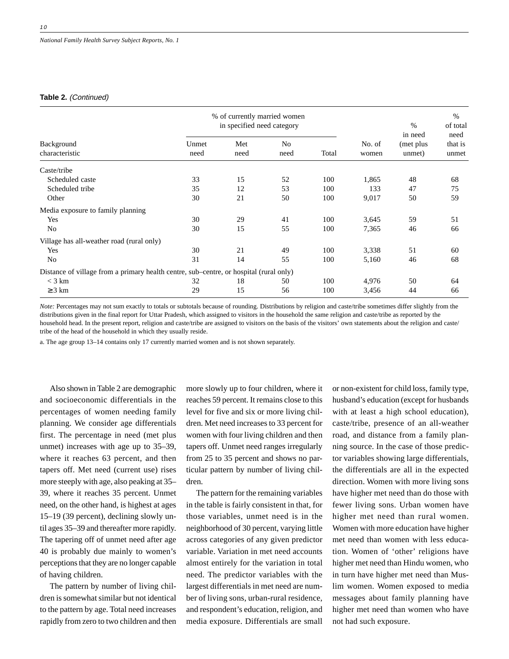### **Table 2.** (Continued)

|                                                                                        |               | % of currently married women<br>in specified need category |                        |       |                 | %<br>in need         | %<br>of total            |
|----------------------------------------------------------------------------------------|---------------|------------------------------------------------------------|------------------------|-------|-----------------|----------------------|--------------------------|
| Background<br>characteristic                                                           | Unmet<br>need | Met<br>need                                                | N <sub>0</sub><br>need | Total | No. of<br>women | (met plus)<br>unmet) | need<br>that is<br>unmet |
| Caste/tribe                                                                            |               |                                                            |                        |       |                 |                      |                          |
| Scheduled caste                                                                        | 33            | 15                                                         | 52                     | 100   | 1,865           | 48                   | 68                       |
| Scheduled tribe                                                                        | 35            | 12                                                         | 53                     | 100   | 133             | 47                   | 75                       |
| Other                                                                                  | 30            | 21                                                         | 50                     | 100   | 9,017           | 50                   | 59                       |
| Media exposure to family planning.                                                     |               |                                                            |                        |       |                 |                      |                          |
| Yes                                                                                    | 30            | 29                                                         | 41                     | 100   | 3,645           | 59                   | 51                       |
| No                                                                                     | 30            | 15                                                         | 55                     | 100   | 7,365           | 46                   | 66                       |
| Village has all-weather road (rural only)                                              |               |                                                            |                        |       |                 |                      |                          |
| Yes                                                                                    | 30            | 21                                                         | 49                     | 100   | 3,338           | 51                   | 60                       |
| N <sub>0</sub>                                                                         | 31            | 14                                                         | 55                     | 100   | 5,160           | 46                   | 68                       |
| Distance of village from a primary health centre, sub-centre, or hospital (rural only) |               |                                                            |                        |       |                 |                      |                          |
| $<$ 3 km                                                                               | 32            | 18                                                         | 50                     | 100   | 4,976           | 50                   | 64                       |
| $\geq$ 3 km                                                                            | 29            | 15                                                         | 56                     | 100   | 3,456           | 44                   | 66                       |

*Note:* Percentages may not sum exactly to totals or subtotals because of rounding. Distributions by religion and caste/tribe sometimes differ slightly from the distributions given in the final report for Uttar Pradesh, which assigned to visitors in the household the same religion and caste/tribe as reported by the household head. In the present report, religion and caste/tribe are assigned to visitors on the basis of the visitors' own statements about the religion and caste/ tribe of the head of the household in which they usually reside.

a. The age group 13–14 contains only 17 currently married women and is not shown separately.

Also shown in Table 2 are demographic and socioeconomic differentials in the percentages of women needing family planning. We consider age differentials first. The percentage in need (met plus unmet) increases with age up to 35–39, where it reaches 63 percent, and then tapers off. Met need (current use) rises more steeply with age, also peaking at 35– 39, where it reaches 35 percent. Unmet need, on the other hand, is highest at ages 15–19 (39 percent), declining slowly until ages 35–39 and thereafter more rapidly. The tapering off of unmet need after age 40 is probably due mainly to women's perceptions that they are no longer capable of having children.

The pattern by number of living children is somewhat similar but not identical to the pattern by age. Total need increases rapidly from zero to two children and then

more slowly up to four children, where it reaches 59 percent. It remains close to this level for five and six or more living children. Met need increases to 33 percent for women with four living children and then tapers off. Unmet need ranges irregularly from 25 to 35 percent and shows no particular pattern by number of living children.

The pattern for the remaining variables in the table is fairly consistent in that, for those variables, unmet need is in the neighborhood of 30 percent, varying little across categories of any given predictor variable. Variation in met need accounts almost entirely for the variation in total need. The predictor variables with the largest differentials in met need are number of living sons, urban-rural residence, and respondent's education, religion, and media exposure. Differentials are small

or non-existent for child loss, family type, husband's education (except for husbands with at least a high school education), caste/tribe, presence of an all-weather road, and distance from a family planning source. In the case of those predictor variables showing large differentials, the differentials are all in the expected direction. Women with more living sons have higher met need than do those with fewer living sons. Urban women have higher met need than rural women. Women with more education have higher met need than women with less education. Women of 'other' religions have higher met need than Hindu women, who in turn have higher met need than Muslim women. Women exposed to media messages about family planning have higher met need than women who have not had such exposure.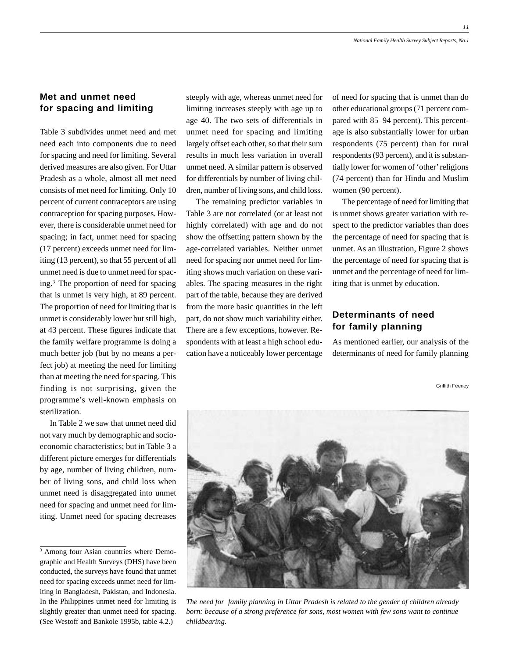11

## **Met and unmet need for spacing and limiting**

Table 3 subdivides unmet need and met need each into components due to need for spacing and need for limiting. Several derived measures are also given. For Uttar Pradesh as a whole, almost all met need consists of met need for limiting. Only 10 percent of current contraceptors are using contraception for spacing purposes. However, there is considerable unmet need for spacing; in fact, unmet need for spacing (17 percent) exceeds unmet need for limiting (13 percent), so that 55 percent of all unmet need is due to unmet need for spacing.3 The proportion of need for spacing that is unmet is very high, at 89 percent. The proportion of need for limiting that is unmet is considerably lower but still high, at 43 percent. These figures indicate that the family welfare programme is doing a much better job (but by no means a perfect job) at meeting the need for limiting than at meeting the need for spacing. This finding is not surprising, given the programme's well-known emphasis on sterilization.

In Table 2 we saw that unmet need did not vary much by demographic and socioeconomic characteristics; but in Table 3 a different picture emerges for differentials by age, number of living children, number of living sons, and child loss when unmet need is disaggregated into unmet need for spacing and unmet need for limiting. Unmet need for spacing decreases

steeply with age, whereas unmet need for limiting increases steeply with age up to age 40. The two sets of differentials in unmet need for spacing and limiting largely offset each other, so that their sum results in much less variation in overall unmet need. A similar pattern is observed for differentials by number of living children, number of living sons, and child loss.

The remaining predictor variables in Table 3 are not correlated (or at least not highly correlated) with age and do not show the offsetting pattern shown by the age-correlated variables. Neither unmet need for spacing nor unmet need for limiting shows much variation on these variables. The spacing measures in the right part of the table, because they are derived from the more basic quantities in the left part, do not show much variability either. There are a few exceptions, however. Respondents with at least a high school education have a noticeably lower percentage

of need for spacing that is unmet than do other educational groups (71 percent compared with 85–94 percent). This percentage is also substantially lower for urban respondents (75 percent) than for rural respondents (93 percent), and it is substantially lower for women of 'other' religions (74 percent) than for Hindu and Muslim women (90 percent).

The percentage of need for limiting that is unmet shows greater variation with respect to the predictor variables than does the percentage of need for spacing that is unmet. As an illustration, Figure 2 shows the percentage of need for spacing that is unmet and the percentage of need for limiting that is unmet by education.

## **Determinants of need for family planning**

As mentioned earlier, our analysis of the determinants of need for family planning

Griffith Feeney



*The need for family planning in Uttar Pradesh is related to the gender of children already born: because of a strong preference for sons, most women with few sons want to continue childbearing.*

<sup>3</sup> Among four Asian countries where Demographic and Health Surveys (DHS) have been conducted, the surveys have found that unmet need for spacing exceeds unmet need for limiting in Bangladesh, Pakistan, and Indonesia. In the Philippines unmet need for limiting is slightly greater than unmet need for spacing. (See Westoff and Bankole 1995b, table 4.2.)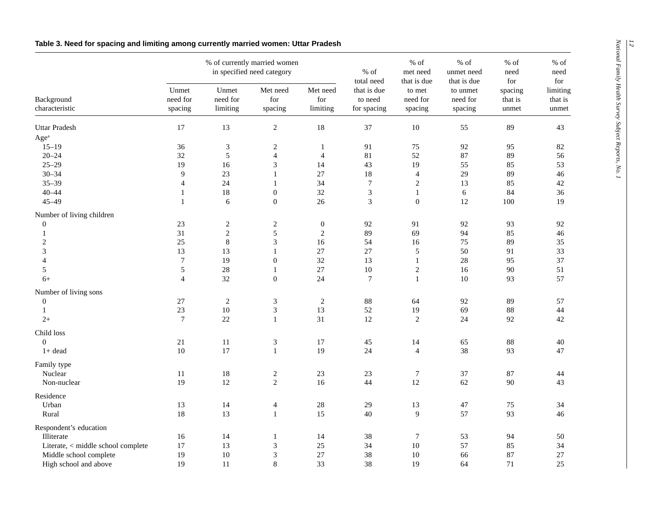|                                    |                              |                               | % of currently married women<br>in specified need category |                             | $\%$ of<br>total need<br>that is due<br>to need<br>for spacing | $\%$ of<br>met need<br>that is due<br>to met<br>need for<br>spacing | $%$ of<br>unmet need<br>that is due<br>to unmet<br>need for<br>spacing | $%$ of<br>need<br>for       | $\%$ of<br>need<br>for       |
|------------------------------------|------------------------------|-------------------------------|------------------------------------------------------------|-----------------------------|----------------------------------------------------------------|---------------------------------------------------------------------|------------------------------------------------------------------------|-----------------------------|------------------------------|
| Background<br>characteristic       | Unmet<br>need for<br>spacing | Unmet<br>need for<br>limiting | Met need<br>for<br>spacing                                 | Met need<br>for<br>limiting |                                                                |                                                                     |                                                                        | spacing<br>that is<br>unmet | limiting<br>that is<br>unmet |
| <b>Uttar Pradesh</b>               | 17                           | 13                            | $\overline{c}$                                             | 18                          | 37                                                             | 10                                                                  | 55                                                                     | 89                          | 43                           |
| $Age^a$                            |                              |                               |                                                            |                             |                                                                |                                                                     |                                                                        |                             |                              |
| $15 - 19$                          | 36                           | $\ensuremath{\mathfrak{Z}}$   | $\sqrt{2}$                                                 | $\mathbf{1}$                | 91                                                             | 75                                                                  | 92                                                                     | 95                          | 82                           |
| $20 - 24$                          | 32                           | $\sqrt{5}$                    | $\overline{4}$                                             | $\overline{4}$              | 81                                                             | 52                                                                  | 87                                                                     | 89                          | 56                           |
| $25 - 29$                          | 19                           | 16                            | 3                                                          | 14                          | 43                                                             | 19                                                                  | 55                                                                     | 85                          | 53                           |
| $30 - 34$                          | 9                            | 23                            | 1                                                          | $27\,$                      | 18                                                             | $\overline{4}$                                                      | 29                                                                     | 89                          | 46                           |
| $35 - 39$                          | $\overline{4}$               | 24                            | $\mathbf{1}$                                               | 34                          | $\overline{7}$                                                 | $\sqrt{2}$                                                          | 13                                                                     | 85                          | 42                           |
| $40 - 44$                          | $\mathbf{1}$                 | 18                            | $\boldsymbol{0}$                                           | 32                          | $\sqrt{3}$                                                     | $\mathbf{1}$                                                        | $\sqrt{6}$                                                             | 84                          | 36                           |
| $45 - 49$                          | 1                            | 6                             | $\boldsymbol{0}$                                           | 26                          | 3                                                              | $\boldsymbol{0}$                                                    | 12                                                                     | 100                         | 19                           |
| Number of living children          |                              |                               |                                                            |                             |                                                                |                                                                     |                                                                        |                             |                              |
| $\overline{0}$                     | 23                           | $\sqrt{2}$                    | $\sqrt{2}$                                                 | $\boldsymbol{0}$            | 92                                                             | 91                                                                  | 92                                                                     | 93                          | 92                           |
| 1                                  | 31                           | $\sqrt{2}$                    | 5                                                          | $\overline{c}$              | 89                                                             | 69                                                                  | 94                                                                     | 85                          | 46                           |
| 2                                  | 25                           | $\,$ 8 $\,$                   | 3                                                          | 16                          | 54                                                             | 16                                                                  | 75                                                                     | 89                          | 35                           |
| 3                                  | 13                           | 13                            | 1                                                          | $27\,$                      | 27                                                             | $\sqrt{5}$                                                          | 50                                                                     | 91                          | 33                           |
| 4                                  | $\boldsymbol{7}$             | 19                            | $\mathbf{0}$                                               | 32                          | 13                                                             | $\mathbf{1}$                                                        | $28\,$                                                                 | 95                          | 37                           |
| 5                                  | $\sqrt{5}$                   | $28\,$                        | $\mathbf{1}$                                               | $27\,$                      | $10\,$                                                         | $\sqrt{2}$                                                          | 16                                                                     | $90\,$                      | 51                           |
| $6+$                               | $\overline{4}$               | 32                            | $\overline{0}$                                             | 24                          | 7                                                              | $\mathbf{1}$                                                        | $10\,$                                                                 | 93                          | 57                           |
| Number of living sons              |                              |                               |                                                            |                             |                                                                |                                                                     |                                                                        |                             |                              |
| $\mathbf{0}$                       | 27                           | $\sqrt{2}$                    | $\mathfrak{Z}$                                             | $\sqrt{2}$                  | 88                                                             | 64                                                                  | $92\,$                                                                 | 89                          | 57                           |
| 1                                  | 23                           | 10                            | $\mathfrak{Z}$                                             | 13                          | 52                                                             | 19                                                                  | 69                                                                     | 88                          | 44                           |
| $2+$                               | $\overline{7}$               | $22\,$                        | $\mathbf{1}$                                               | 31                          | $12\,$                                                         | $\overline{2}$                                                      | 24                                                                     | 92                          | 42                           |
| Child loss                         |                              |                               |                                                            |                             |                                                                |                                                                     |                                                                        |                             |                              |
| $\overline{0}$                     | $21\,$                       | 11                            | $\mathfrak{Z}$                                             | 17                          | 45                                                             | 14                                                                  | 65                                                                     | $88\,$                      | 40                           |
| $1+$ dead                          | 10                           | 17                            | $\mathbf{1}$                                               | 19                          | 24                                                             | $\overline{4}$                                                      | 38                                                                     | 93                          | 47                           |
| Family type                        |                              |                               |                                                            |                             |                                                                |                                                                     |                                                                        |                             |                              |
| Nuclear                            | 11                           | 18                            | $\boldsymbol{2}$                                           | 23                          | 23                                                             | $\boldsymbol{7}$                                                    | 37                                                                     | 87                          | 44                           |
| Non-nuclear                        | 19                           | 12                            | $\sqrt{2}$                                                 | 16                          | 44                                                             | 12                                                                  | 62                                                                     | 90                          | 43                           |
| Residence                          |                              |                               |                                                            |                             |                                                                |                                                                     |                                                                        |                             |                              |
| Urban                              | 13                           | 14                            | $\overline{4}$                                             | $28\,$                      | 29                                                             | 13                                                                  | $47\,$                                                                 | 75                          | 34                           |
| Rural                              | 18                           | 13                            | $\mathbf{1}$                                               | 15                          | $40\,$                                                         | 9                                                                   | 57                                                                     | 93                          | 46                           |
| Respondent's education             |                              |                               |                                                            |                             |                                                                |                                                                     |                                                                        |                             |                              |
| Illiterate                         | 16                           | 14                            | 1                                                          | 14                          | 38                                                             | $\tau$                                                              | 53                                                                     | 94                          | 50                           |
| Literate, < middle school complete | 17                           | 13                            | 3                                                          | 25                          | 34                                                             | 10                                                                  | 57                                                                     | 85                          | 34                           |
| Middle school complete             | 19                           | 10                            | 3                                                          | 27                          | 38                                                             | 10                                                                  | 66                                                                     | 87                          | $27\,$                       |
| High school and above              | 19                           | 11                            | 8                                                          | 33                          | 38                                                             | 19                                                                  | 64                                                                     | 71                          | 25                           |

# <sup>2</sup> **Table 3. Need for spacing and limiting among currently married women: Uttar Pradesh**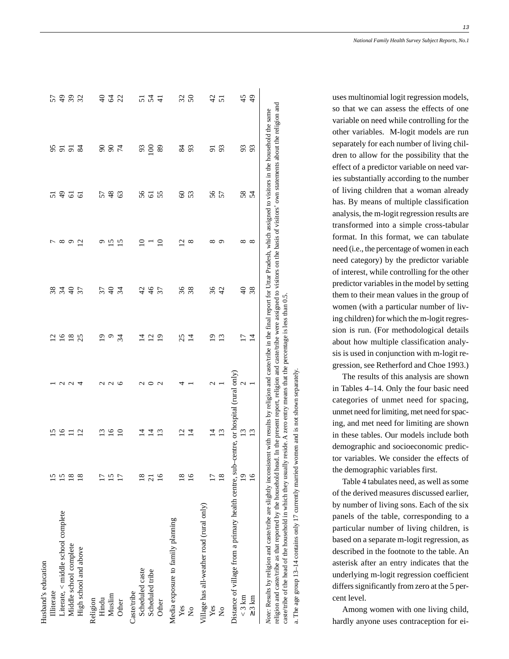| Husband's education                                                                                                                                                                                                                                                                                                                                                                                                                                                                                                                                                                       |                 |       |                                                                 |                 |                |                 |               |              |                |
|-------------------------------------------------------------------------------------------------------------------------------------------------------------------------------------------------------------------------------------------------------------------------------------------------------------------------------------------------------------------------------------------------------------------------------------------------------------------------------------------------------------------------------------------------------------------------------------------|-----------------|-------|-----------------------------------------------------------------|-----------------|----------------|-----------------|---------------|--------------|----------------|
| Illiterate                                                                                                                                                                                                                                                                                                                                                                                                                                                                                                                                                                                |                 |       |                                                                 | $\bar{\omega}$  | 38             |                 |               |              |                |
| Literate, < middle school complete                                                                                                                                                                                                                                                                                                                                                                                                                                                                                                                                                        | ≌               | ୧     | $\scriptstyle\sim$                                              | $\overline{9}$  | $\mathcal{L}$  | $^{\circ}$      | ᡩ             | 5553         |                |
| Middle school complete                                                                                                                                                                                                                                                                                                                                                                                                                                                                                                                                                                    | $\infty$        |       | $\mathbf{\Omega}$                                               | $18^{25}$       | $rac{40}{37}$  | $\circ$         | ତ             |              |                |
| High school and above                                                                                                                                                                                                                                                                                                                                                                                                                                                                                                                                                                     | ≌               | ≌     | 4                                                               |                 |                | $\overline{C}$  | 5             |              |                |
| Religion                                                                                                                                                                                                                                                                                                                                                                                                                                                                                                                                                                                  |                 |       |                                                                 |                 |                |                 |               |              |                |
| Hindu                                                                                                                                                                                                                                                                                                                                                                                                                                                                                                                                                                                     |                 |       |                                                                 | ⊵               | 57             | ᡋ               | 57            |              | री             |
| Muslim                                                                                                                                                                                                                                                                                                                                                                                                                                                                                                                                                                                    | $\overline{5}$  | ⊵     | $\sim$                                                          | $\circ$         | $\theta$       | ω               | $\frac{8}{3}$ | <b>2842</b>  | 2<br>2<br>2    |
| Other                                                                                                                                                                                                                                                                                                                                                                                                                                                                                                                                                                                     | Ξ               | ≘     | ℃                                                               | 34              | $\mathfrak{F}$ | N               | 63            |              |                |
| Caste/tribe                                                                                                                                                                                                                                                                                                                                                                                                                                                                                                                                                                               |                 |       |                                                                 |                 |                |                 |               |              |                |
| Scheduled caste                                                                                                                                                                                                                                                                                                                                                                                                                                                                                                                                                                           | $\frac{8}{18}$  | ⋣     | $\mathbf{c}$                                                    | 4               | $\overline{c}$ |                 | 56            | 93           | 51             |
| Scheduled tribe                                                                                                                                                                                                                                                                                                                                                                                                                                                                                                                                                                           |                 | 그     | ⌒                                                               | 29              | $\frac{6}{5}$  |                 | 61            | $\mathbf{S}$ | $\mathcal{L}$  |
| Other                                                                                                                                                                                                                                                                                                                                                                                                                                                                                                                                                                                     | $\frac{6}{2}$   | $\Xi$ | $\sim$                                                          |                 | 37             | ≘               | 55            | 89           | $\exists$      |
| Media exposure to family planning                                                                                                                                                                                                                                                                                                                                                                                                                                                                                                                                                         |                 |       |                                                                 |                 |                |                 |               |              |                |
| Yes                                                                                                                                                                                                                                                                                                                                                                                                                                                                                                                                                                                       | $\infty$        |       |                                                                 | 25              | 36             | $\mathbf{\sim}$ | 8             | 84           | $\frac{2}{5}$  |
| $\frac{1}{2}$                                                                                                                                                                                                                                                                                                                                                                                                                                                                                                                                                                             | $\circ$         | 그     |                                                                 | $\overline{4}$  | 38             | $\infty$        | 53            | 93           |                |
| Village has all-weather road (rural only)                                                                                                                                                                                                                                                                                                                                                                                                                                                                                                                                                 |                 |       |                                                                 |                 |                |                 |               |              |                |
| Yes                                                                                                                                                                                                                                                                                                                                                                                                                                                                                                                                                                                       | $\overline{17}$ | ⋣     | $\mathbf{\sim}$                                                 | ⊵               | 36             | ∞               | 56            | 5            | 4S             |
| $\frac{1}{2}$                                                                                                                                                                                                                                                                                                                                                                                                                                                                                                                                                                             | $\frac{8}{18}$  | $\Xi$ |                                                                 | $\overline{13}$ | $\overline{4}$ | σ               | 57            | 93           | 51             |
| Distance of village from a primary health centre, sub-centre, or hospital (rural only)                                                                                                                                                                                                                                                                                                                                                                                                                                                                                                    |                 |       |                                                                 |                 |                |                 |               |              |                |
| $<$ 3 km                                                                                                                                                                                                                                                                                                                                                                                                                                                                                                                                                                                  | $\overline{C}$  | ≌     |                                                                 | Ξ               | ¥              | ${}^{\circ}$    | 58            | 93           | 45             |
| $\geq 3$ km                                                                                                                                                                                                                                                                                                                                                                                                                                                                                                                                                                               | $\circ$         | ്     |                                                                 | $\overline{4}$  | 38             | $\infty$        | 24            | 93           | $\overline{4}$ |
| religion and caste/tribe as that reported by the household head. In the present report, religion and caste/tribe were assigned to visitors on the basis of visitors' own statements about the religion and<br>Note: Results by religion and caste/tribe are slightly inconsistent with results by religion and caste/tribe in the final report for Uttar Pradesh, which assigned to visitors in the household the same<br>a. The age group $13-14$ contains only 17 currently married women and is not shown separately<br>caste/tribe of the head of the household in which they usually |                 |       | reside. A zero entry means that the percentage is less than 0.5 |                 |                |                 |               |              |                |

so that we can assess the effects of one variable on need while controlling for the other variables. M-logit models are run separately for each number of living children to allow for the possibility that the effect of a predictor variable on need varies substantially according to the number of living children that a woman already has. By means of multiple classification analysis, the m-logit regression results are transformed into a simple cross-tabular format. In this format, we can tabulate need (i.e., the percentage of women in each need category) by the predictor variable of interest, while controlling for the other predictor variables in the model by setting them to their mean values in the group of women (with a particular number of living children) for which the m-logit regression is run. (For methodological details about how multiple classification analysis is used in conjunction with m-logit regression, see Retherford and Choe 1993.)

The results of this analysis are shown in Tables 4–14. Only the four basic need categories of unmet need for spacing, unmet need for limiting, met need for spacing, and met need for limiting are shown in these tables. Our models include both demographic and socioeconomic predictor variables. We consider the effects of the demographic variables first.

Table 4 tabulates need, as well as some of the derived measures discussed earlier, by number of living sons. Each of the six panels of the table, corresponding to a particular number of living children, is based on a separate m-logit regression, as described in the footnote to the table. An asterisk after an entry indicates that the underlying m-logit regression coefficient differs significantly from zero at the 5 percent level.

Among women with one living child, hardly anyone uses contraception for ei-

uses multinomial logit regression models,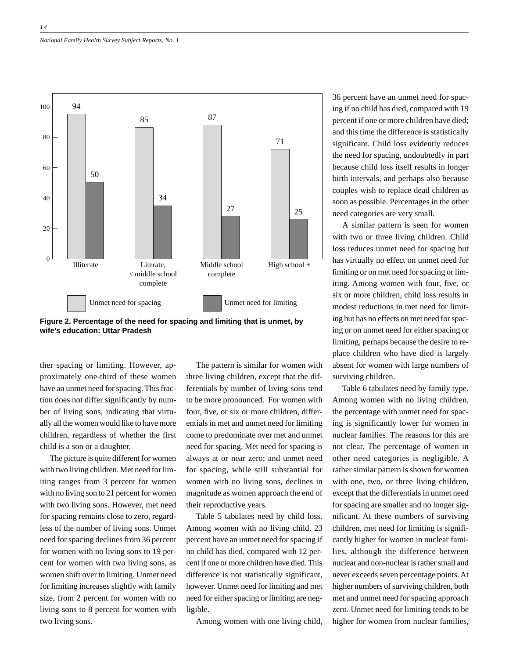

**Figure 2. Percentage of the need for spacing and limiting that is unmet, by wife's education: Uttar Pradesh**

ther spacing or limiting. However, approximately one-third of these women have an unmet need for spacing. This fraction does not differ significantly by number of living sons, indicating that virtually all the women would like to have more children, regardless of whether the first child is a son or a daughter.

The picture is quite different for women with two living children. Met need for limiting ranges from 3 percent for women with no living son to 21 percent for women with two living sons. However, met need for spacing remains close to zero, regardless of the number of living sons. Unmet need for spacing declines from 36 percent for women with no living sons to 19 percent for women with two living sons, as women shift over to limiting. Unmet need for limiting increases slightly with family size, from 2 percent for women with no living sons to 8 percent for women with two living sons.

The pattern is similar for women with three living children, except that the differentials by number of living sons tend to be more pronounced. For women with four, five, or six or more children, differentials in met and unmet need for limiting come to predominate over met and unmet need for spacing. Met need for spacing is always at or near zero; and unmet need for spacing, while still substantial for women with no living sons, declines in magnitude as women approach the end of their reproductive years.

Table 5 tabulates need by child loss. Among women with no living child, 23 percent have an unmet need for spacing if no child has died, compared with 12 percent if one or more children have died. This difference is not statistically significant, however. Unmet need for limiting and met need for either spacing or limiting are negligible.

Among women with one living child,

36 percent have an unmet need for spacing if no child has died, compared with 19 percent if one or more children have died; and this time the difference is statistically significant. Child loss evidently reduces the need for spacing, undoubtedly in part because child loss itself results in longer birth intervals, and perhaps also because couples wish to replace dead children as soon as possible. Percentages in the other need categories are very small.

A similar pattern is seen for women with two or three living children. Child loss reduces unmet need for spacing but has virtually no effect on unmet need for limiting or on met need for spacing or limiting. Among women with four, five, or six or more children, child loss results in modest reductions in met need for limiting but has no effects on met need for spacing or on unmet need for either spacing or limiting, perhaps because the desire to replace children who have died is largely absent for women with large numbers of surviving children.

Table 6 tabulates need by family type. Among women with no living children, the percentage with unmet need for spacing is significantly lower for women in nuclear families. The reasons for this are not clear. The percentage of women in other need categories is negligible. A rather similar pattern is shown for women with one, two, or three living children, except that the differentials in unmet need for spacing are smaller and no longer significant. At these numbers of surviving children, met need for limiting is significantly higher for women in nuclear families, although the difference between nuclear and non-nuclear is rather small and never exceeds seven percentage points. At higher numbers of surviving children, both met and unmet need for spacing approach zero. Unmet need for limiting tends to be higher for women from nuclear families,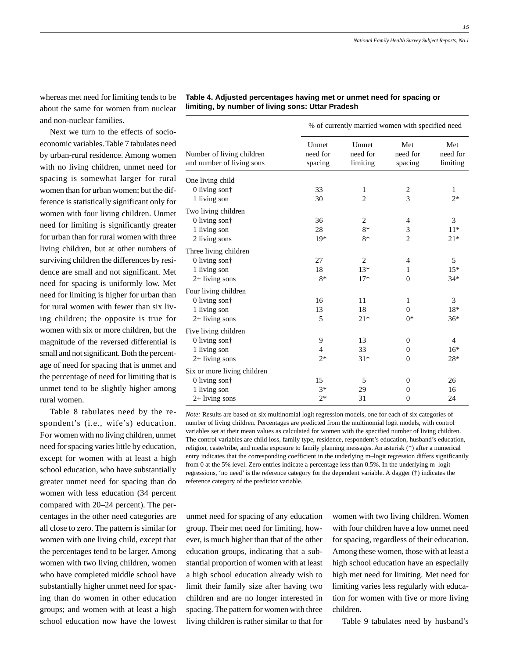15

whereas met need for limiting tends to be about the same for women from nuclear and non-nuclear families.

Next we turn to the effects of socioeconomic variables. Table 7 tabulates need by urban-rural residence. Among women with no living children, unmet need for spacing is somewhat larger for rural women than for urban women; but the difference is statistically significant only for women with four living children. Unmet need for limiting is significantly greater for urban than for rural women with three living children, but at other numbers of surviving children the differences by residence are small and not significant. Met need for spacing is uniformly low. Met need for limiting is higher for urban than for rural women with fewer than six living children; the opposite is true for women with six or more children, but the magnitude of the reversed differential is small and not significant. Both the percentage of need for spacing that is unmet and the percentage of need for limiting that is unmet tend to be slightly higher among rural women.

Table 8 tabulates need by the respondent's (i.e., wife's) education. For women with no living children, unmet need for spacing varies little by education, except for women with at least a high school education, who have substantially greater unmet need for spacing than do women with less education (34 percent compared with 20–24 percent). The percentages in the other need categories are all close to zero. The pattern is similar for women with one living child, except that the percentages tend to be larger. Among women with two living children, women who have completed middle school have substantially higher unmet need for spacing than do women in other education groups; and women with at least a high school education now have the lowest

|                                                        | % of currently married women with specified need |                               |                            |                             |  |  |  |  |
|--------------------------------------------------------|--------------------------------------------------|-------------------------------|----------------------------|-----------------------------|--|--|--|--|
| Number of living children<br>and number of living sons | Unmet<br>need for<br>spacing                     | Unmet<br>need for<br>limiting | Met<br>need for<br>spacing | Met<br>need for<br>limiting |  |  |  |  |
| One living child                                       |                                                  |                               |                            |                             |  |  |  |  |
| 0 living son $\dagger$                                 | 33                                               | 1                             | 2                          | 1                           |  |  |  |  |
| 1 living son                                           | 30                                               | $\overline{2}$                | 3                          | $2*$                        |  |  |  |  |
| Two living children                                    |                                                  |                               |                            |                             |  |  |  |  |
| 0 living son†                                          | 36                                               | $\overline{c}$                | 4                          | 3                           |  |  |  |  |
| 1 living son                                           | 28                                               | 8*                            | 3                          | $11*$                       |  |  |  |  |
| 2 living sons                                          | $19*$                                            | $8*$                          | $\overline{c}$             | $21*$                       |  |  |  |  |
| Three living children                                  |                                                  |                               |                            |                             |  |  |  |  |
| 0 living son†                                          | 27                                               | 2                             | 4                          | 5                           |  |  |  |  |
| 1 living son                                           | 18                                               | $13*$                         | 1                          | $15*$                       |  |  |  |  |
| $2+$ living sons                                       | $8*$                                             | $17*$                         | $\theta$                   | $34*$                       |  |  |  |  |
| Four living children                                   |                                                  |                               |                            |                             |  |  |  |  |
| 0 living son†                                          | 16                                               | 11                            | 1                          | 3                           |  |  |  |  |
| 1 living son                                           | 13                                               | 18                            | $\Omega$                   | 18*                         |  |  |  |  |
| $2+$ living sons                                       | 5                                                | $21*$                         | $0*$                       | $36*$                       |  |  |  |  |
| Five living children                                   |                                                  |                               |                            |                             |  |  |  |  |
| 0 living son†                                          | 9                                                | 13                            | $\mathbf{0}$               | 4                           |  |  |  |  |
| 1 living son                                           | $\overline{4}$                                   | 33                            | $\overline{0}$             | $16*$                       |  |  |  |  |
| $2+$ living sons                                       | $2*$                                             | $31*$                         | $\overline{0}$             | $28*$                       |  |  |  |  |
| Six or more living children                            |                                                  |                               |                            |                             |  |  |  |  |
| 0 living son $\dagger$                                 | 15                                               | 5                             | $\overline{0}$             | 26                          |  |  |  |  |

### **Table 4. Adjusted percentages having met or unmet need for spacing or limiting, by number of living sons: Uttar Pradesh**

*Note:* Results are based on six multinomial logit regression models, one for each of six categories of number of living children. Percentages are predicted from the multinomial logit models, with control variables set at their mean values as calculated for women with the specified number of living children. The control variables are child loss, family type, residence, respondent's education, husband's education, religion, caste/tribe, and media exposure to family planning messages. An asterisk (\*) after a numerical entry indicates that the corresponding coefficient in the underlying m–logit regression differs significantly from 0 at the 5% level. Zero entries indicate a percentage less than 0.5%. In the underlying m–logit regressions, 'no need' is the reference category for the dependent variable. A dagger (†) indicates the reference category of the predictor variable.

1 living son 3<sup>\*</sup> 29 0 16  $2+$  living sons  $2^*$  31 0 24

unmet need for spacing of any education group. Their met need for limiting, however, is much higher than that of the other education groups, indicating that a substantial proportion of women with at least a high school education already wish to limit their family size after having two children and are no longer interested in spacing. The pattern for women with three living children is rather similar to that for women with two living children. Women with four children have a low unmet need for spacing, regardless of their education. Among these women, those with at least a high school education have an especially high met need for limiting. Met need for limiting varies less regularly with education for women with five or more living children.

Table 9 tabulates need by husband's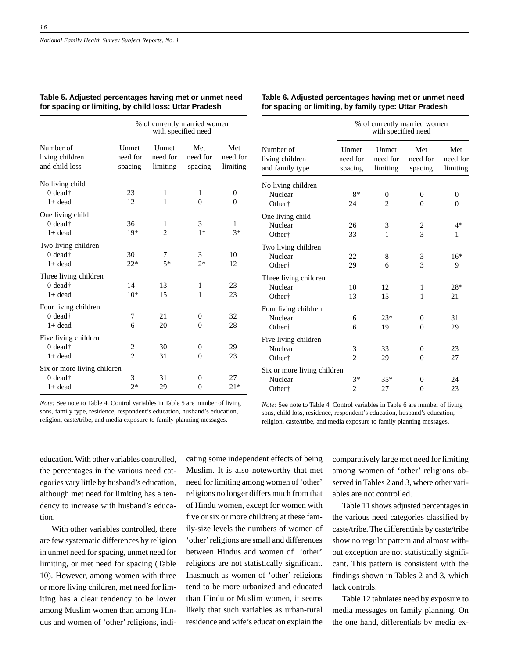### **Table 5. Adjusted percentages having met or unmet need for spacing or limiting, by child loss: Uttar Pradesh**

% of currently married women with specified need Number of Unmet Unmet Met Met living children need for need for need for need for and child loss spacing limiting spacing limiting No living child 0 dead† 23 1 1 0  $1+$  dead  $12$  1 0 0 One living child 0 dead† 36 1 3 1<br>1+ dead 19\* 2 1\* 3 1+ dead  $19^*$  2 1\* 3\* Two living children 0 dead†  $30$  7 3 10 1+ dead  $22^*$   $5^*$   $2^*$  12 Three living children 0 dead† 14 13 1 23 1+ dead  $10^*$  15 1 23 Four living children 0 dead† 7 21 0 32 1+ dead 6 20 0 28 Five living children 0 dead† 2 30 0 29 1+ dead 2 31 0 23 Six or more living children 0 dead† 3 31 0 27 1+ dead  $2^*$  29 0 21\*

*Note:* See note to Table 4. Control variables in Table 5 are number of living sons, family type, residence, respondent's education, husband's education, religion, caste/tribe, and media exposure to family planning messages.

**Table 6. Adjusted percentages having met or unmet need for spacing or limiting, by family type: Uttar Pradesh**

|                                                 | % of currently married women<br>with specified need |                               |                            |                             |  |  |  |  |
|-------------------------------------------------|-----------------------------------------------------|-------------------------------|----------------------------|-----------------------------|--|--|--|--|
| Number of<br>living children<br>and family type | Unmet<br>need for<br>spacing                        | Unmet<br>need for<br>limiting | Met<br>need for<br>spacing | Met<br>need for<br>limiting |  |  |  |  |
| No living children                              |                                                     |                               |                            |                             |  |  |  |  |
| Nuclear                                         | $8*$                                                | $\theta$                      | $\theta$                   | $\theta$                    |  |  |  |  |
| Other <sup>+</sup>                              | 24                                                  | 2                             | $\theta$                   | $\theta$                    |  |  |  |  |
| One living child                                |                                                     |                               |                            |                             |  |  |  |  |
| Nuclear                                         | 26                                                  | 3                             | 2                          | $4*$                        |  |  |  |  |
| Other <sup>+</sup>                              | 33                                                  | 1                             | 3                          | 1                           |  |  |  |  |
| Two living children                             |                                                     |                               |                            |                             |  |  |  |  |
| Nuclear                                         | 22                                                  | 8                             | 3                          | $16*$                       |  |  |  |  |
| Other <sup>+</sup>                              | 29                                                  | 6                             | 3                          | 9                           |  |  |  |  |
| Three living children                           |                                                     |                               |                            |                             |  |  |  |  |
| Nuclear                                         | 10                                                  | 12                            | 1                          | 28*                         |  |  |  |  |
| Other <sup>+</sup>                              | 13                                                  | 15                            | 1                          | 21                          |  |  |  |  |
| Four living children                            |                                                     |                               |                            |                             |  |  |  |  |
| Nuclear                                         | 6                                                   | $23*$                         | $\Omega$                   | 31                          |  |  |  |  |
| Other <sup>+</sup>                              | 6                                                   | 19                            | $\theta$                   | 29                          |  |  |  |  |
| Five living children                            |                                                     |                               |                            |                             |  |  |  |  |
| Nuclear                                         | 3                                                   | 33                            | 0                          | 23                          |  |  |  |  |
| Other†                                          | $\overline{c}$                                      | 29                            | 0                          | 27                          |  |  |  |  |
| Six or more living children                     |                                                     |                               |                            |                             |  |  |  |  |
| Nuclear                                         | $3*$                                                | $35*$                         | 0                          | 24                          |  |  |  |  |
| Other <sup>+</sup>                              | $\overline{2}$                                      | 27                            | $\overline{0}$             | 23                          |  |  |  |  |

*Note:* See note to Table 4. Control variables in Table 6 are number of living sons, child loss, residence, respondent's education, husband's education, religion, caste/tribe, and media exposure to family planning messages.

education. With other variables controlled, the percentages in the various need categories vary little by husband's education, although met need for limiting has a tendency to increase with husband's education.

 With other variables controlled, there are few systematic differences by religion in unmet need for spacing, unmet need for limiting, or met need for spacing (Table 10). However, among women with three or more living children, met need for limiting has a clear tendency to be lower among Muslim women than among Hindus and women of 'other' religions, indicating some independent effects of being Muslim. It is also noteworthy that met need for limiting among women of 'other' religions no longer differs much from that of Hindu women, except for women with five or six or more children; at these family-size levels the numbers of women of 'other' religions are small and differences between Hindus and women of 'other' religions are not statistically significant. Inasmuch as women of 'other' religions tend to be more urbanized and educated than Hindu or Muslim women, it seems likely that such variables as urban-rural residence and wife's education explain the

comparatively large met need for limiting among women of 'other' religions observed in Tables 2 and 3, where other variables are not controlled.

Table 11 shows adjusted percentages in the various need categories classified by caste/tribe. The differentials by caste/tribe show no regular pattern and almost without exception are not statistically significant. This pattern is consistent with the findings shown in Tables 2 and 3, which lack controls.

Table 12 tabulates need by exposure to media messages on family planning. On the one hand, differentials by media ex-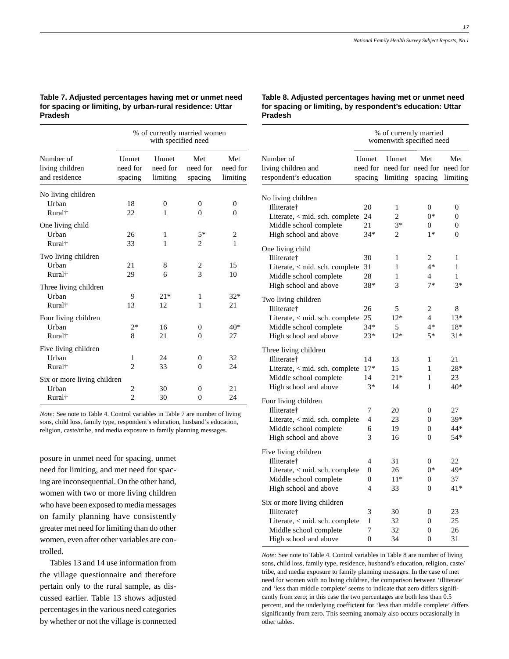#### **Table 7. Adjusted percentages having met or unmet need for spacing or limiting, by urban-rural residence: Uttar Pradesh**

|                                               |                              | % of currently married women<br>with specified need |                            |                             |
|-----------------------------------------------|------------------------------|-----------------------------------------------------|----------------------------|-----------------------------|
| Number of<br>living children<br>and residence | Unmet<br>need for<br>spacing | Unmet<br>need for<br>limiting                       | Met<br>need for<br>spacing | Met<br>need for<br>limiting |
| No living children                            |                              |                                                     |                            |                             |
| Urban                                         | 18                           | $\Omega$                                            | 0                          | 0                           |
| Rural <sup>†</sup>                            | 22                           | 1                                                   | 0                          | 0                           |
| One living child                              |                              |                                                     |                            |                             |
| Urban                                         | 26                           | 1                                                   | 5*                         | 2                           |
| Rural <sup>+</sup>                            | 33                           | 1                                                   | $\overline{c}$             | 1                           |
| Two living children                           |                              |                                                     |                            |                             |
| Urban                                         | 21                           | 8                                                   | 2                          | 15                          |
| Rural <sup>†</sup>                            | 29                           | 6                                                   | 3                          | 10                          |
| Three living children                         |                              |                                                     |                            |                             |
| Urban                                         | 9                            | $21*$                                               | 1                          | $32*$                       |
| Rural <sup>†</sup>                            | 13                           | 12                                                  | 1                          | 21                          |
| Four living children                          |                              |                                                     |                            |                             |
| Urban                                         | $2*$                         | 16                                                  | 0                          | $40*$                       |
| Rural <sup>†</sup>                            | 8                            | 21                                                  | 0                          | 27                          |
| Five living children                          |                              |                                                     |                            |                             |
| Urban                                         | 1                            | 24                                                  | 0                          | 32                          |
| Rural <sup>†</sup>                            | $\overline{c}$               | 33                                                  | 0                          | 24                          |
| Six or more living children                   |                              |                                                     |                            |                             |
| Urban                                         | $\overline{c}$               | 30                                                  | 0                          | 21                          |
| Rural†                                        | $\overline{c}$               | 30                                                  | 0                          | 24                          |

*Note:* See note to Table 4. Control variables in Table 7 are number of living sons, child loss, family type, respondent's education, husband's education, religion, caste/tribe, and media exposure to family planning messages.

posure in unmet need for spacing, unmet need for limiting, and met need for spacing are inconsequential. On the other hand, women with two or more living children who have been exposed to media messages on family planning have consistently greater met need for limiting than do other women, even after other variables are controlled.

Tables 13 and 14 use information from the village questionnaire and therefore pertain only to the rural sample, as discussed earlier. Table 13 shows adjusted percentages in the various need categories by whether or not the village is connected

**Table 8. Adjusted percentages having met or unmet need for spacing or limiting, by respondent's education: Uttar Pradesh**

|                                                                                                                                                 |                              | % of currently married<br>womenwith specified need |                                     |                               |
|-------------------------------------------------------------------------------------------------------------------------------------------------|------------------------------|----------------------------------------------------|-------------------------------------|-------------------------------|
| Number of<br>living children and<br>respondent's education                                                                                      | Unmet<br>need for<br>spacing | Unmet<br>need for<br>limiting                      | Met<br>need for<br>spacing          | Met<br>need for<br>limiting   |
| No living children<br>Illiterate†<br>Literate, < mid. sch. complete<br>Middle school complete<br>High school and above                          | 20<br>24<br>21<br>$34*$      | 1<br>2<br>$3*$<br>$\overline{c}$                   | $\overline{0}$<br>$0*$<br>0<br>$1*$ | $\overline{0}$<br>0<br>0<br>0 |
| One living child<br>Illiterate†<br>Literate, < mid. sch. complete<br>Middle school complete<br>High school and above                            | 30<br>31<br>28<br>38*        | 1<br>1<br>1<br>3                                   | 2<br>$4*$<br>4<br>$7*$              | 1<br>1<br>1<br>$3*$           |
| Two living children<br>Illiterate†<br>Literate, $\langle$ mid. sch. complete<br>Middle school complete<br>High school and above                 | 26<br>25<br>34*<br>23*       | 5<br>$12*$<br>5<br>$12*$                           | 2<br>4<br>$4*$<br>$5*$              | 8<br>$13*$<br>$18*$<br>31*    |
| Three living children<br>Illiterate <sup>+</sup><br>Literate, < mid. sch. complete<br>Middle school complete<br>High school and above           | 14<br>$17*$<br>14<br>$3*$    | 13<br>15<br>$21*$<br>14                            | 1<br>1<br>1<br>1                    | 21<br>$28*$<br>23<br>40*      |
| Four living children<br>Illiterate†<br>Literate, $\langle$ mid. sch. complete<br>Middle school complete<br>High school and above                | 7<br>4<br>6<br>3             | 20<br>23<br>19<br>16                               | 0<br>$\overline{0}$<br>0<br>0       | 27<br>39*<br>44*<br>$54*$     |
| Five living children<br>Illiterate†<br>Literate, < mid. sch. complete<br>Middle school complete<br>High school and above                        | 4<br>0<br>0<br>4             | 31<br>26<br>$11*$<br>33                            | 0<br>$0*$<br>0<br>$\overline{0}$    | 22<br>49*<br>37<br>41*        |
| Six or more living children<br>Illiterate <sup>†</sup><br>Literate, $\lt$ mid. sch. complete<br>Middle school complete<br>High school and above | 3<br>1<br>7<br>$\theta$      | 30<br>32<br>32<br>34                               | 0<br>0<br>0<br>$\theta$             | 23<br>25<br>26<br>31          |

*Note:* See note to Table 4. Control variables in Table 8 are number of living sons, child loss, family type, residence, husband's education, religion, caste/ tribe, and media exposure to family planning messages. In the case of met need for women with no living children, the comparison between 'illiterate' and 'less than middle complete' seems to indicate that zero differs significantly from zero; in this case the two percentages are both less than 0.5 percent, and the underlying coefficient for 'less than middle complete' differs significantly from zero. This seeming anomaly also occurs occasionally in other tables.

### 17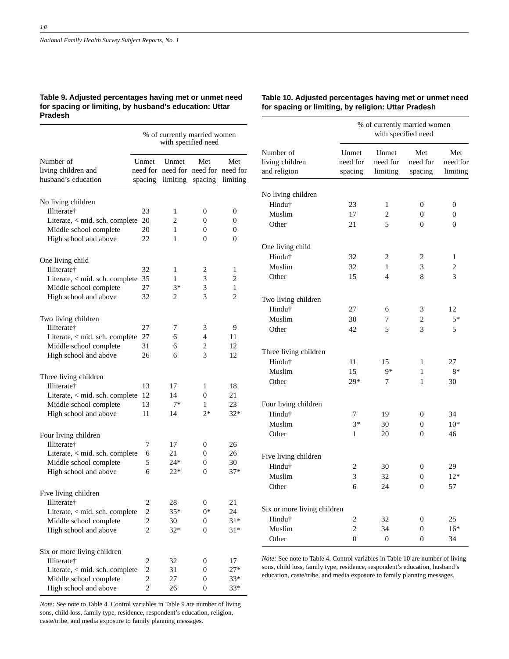### **Table 9. Adjusted percentages having met or unmet need for spacing or limiting, by husband's education: Uttar Pradesh**

**Table 10. Adjusted percentages having met or unmet need for spacing or limiting, by religion: Uttar Pradesh**

|                                                         |                         | % of currently married women<br>with specified need |                |                             |  |  |  |  |
|---------------------------------------------------------|-------------------------|-----------------------------------------------------|----------------|-----------------------------|--|--|--|--|
| Number of<br>living children and<br>husband's education | Unmet<br>spacing        | Unmet<br>need for need for need for<br>limiting     | Met<br>spacing | Met<br>need for<br>limiting |  |  |  |  |
| No living children                                      |                         |                                                     |                |                             |  |  |  |  |
| Illiterate <sup>†</sup>                                 | 23                      | 1                                                   | 0              | 0                           |  |  |  |  |
| Literate, < mid. sch. complete                          | 20                      | 2                                                   | $\Omega$       | 0                           |  |  |  |  |
| Middle school complete                                  | 20                      | 1                                                   | $\Omega$       | 0                           |  |  |  |  |
| High school and above                                   | 22                      | 1                                                   | 0              | 0                           |  |  |  |  |
| One living child                                        |                         |                                                     |                |                             |  |  |  |  |
| Illiterate†                                             | 32                      | 1                                                   | 2              | 1                           |  |  |  |  |
| Literate, < mid. sch. complete                          | 35                      | 1                                                   | 3              | 2                           |  |  |  |  |
| Middle school complete                                  | 27                      | $3*$                                                | 3              | 1                           |  |  |  |  |
| High school and above                                   | 32                      | 2                                                   | 3              | 2                           |  |  |  |  |
| Two living children                                     |                         |                                                     |                |                             |  |  |  |  |
| Illiterate†                                             | 27                      | 7                                                   | 3              | 9                           |  |  |  |  |
| Literate, < mid. sch. complete                          | 27                      | 6                                                   | 4              | 11                          |  |  |  |  |
| Middle school complete                                  | 31                      | 6                                                   | 2              | 12                          |  |  |  |  |
| High school and above                                   | 26                      | 6                                                   | 3              | 12                          |  |  |  |  |
| Three living children                                   |                         |                                                     |                |                             |  |  |  |  |
| Illiterate†                                             | 13                      | 17                                                  | 1              | 18                          |  |  |  |  |
| Literate, < mid. sch. complete                          | 12                      | 14                                                  | 0              | 21                          |  |  |  |  |
| Middle school complete                                  | 13                      | $7*$                                                | 1              | 23                          |  |  |  |  |
| High school and above                                   | 11                      | 14                                                  | $2*$           | 32*                         |  |  |  |  |
| Four living children                                    |                         |                                                     |                |                             |  |  |  |  |
| Illiterate <sup>+</sup>                                 | 7                       | 17                                                  | 0              | 26                          |  |  |  |  |
| Literate, $<$ mid. sch. complete                        | 6                       | 21                                                  | 0              | 26                          |  |  |  |  |
| Middle school complete                                  | 5                       | 24*                                                 | 0              | 30                          |  |  |  |  |
| High school and above                                   | 6                       | 22*                                                 | 0              | 37*                         |  |  |  |  |
| Five living children                                    |                         |                                                     |                |                             |  |  |  |  |
| Illiterate <sup>+</sup>                                 | 2                       | 28                                                  | 0              | 21                          |  |  |  |  |
| Literate, < mid. sch. complete                          | $\overline{\mathbf{c}}$ | $35*$                                               | $0*$           | 24                          |  |  |  |  |
| Middle school complete                                  | $\overline{c}$          | 30                                                  | 0              | $31*$                       |  |  |  |  |
| High school and above                                   | $\overline{c}$          | $32*$                                               | 0              | $31*$                       |  |  |  |  |
| Six or more living children                             |                         |                                                     |                |                             |  |  |  |  |
| Illiterate†                                             | 2                       | 32                                                  | 0              | 17                          |  |  |  |  |
| Literate, < mid. sch. complete                          | $\overline{c}$          | 31                                                  | 0              | $27*$                       |  |  |  |  |
| Middle school complete                                  | $\overline{c}$          | 27                                                  | 0              | $33*$                       |  |  |  |  |
| High school and above                                   | 2                       | 26                                                  | 0              | $33*$                       |  |  |  |  |

*Note:* See note to Table 4. Control variables in Table 9 are number of living sons, child loss, family type, residence, respondent's education, religion, caste/tribe, and media exposure to family planning messages.

|                                              | % of currently married women<br>with specified need |                               |                            |                             |  |  |  |  |
|----------------------------------------------|-----------------------------------------------------|-------------------------------|----------------------------|-----------------------------|--|--|--|--|
| Number of<br>living children<br>and religion | Unmet<br>need for<br>spacing                        | Unmet<br>need for<br>limiting | Met<br>need for<br>spacing | Met<br>need for<br>limiting |  |  |  |  |
| No living children                           |                                                     |                               |                            |                             |  |  |  |  |
| Hindu <sup>+</sup>                           | 23                                                  | 1                             | $\overline{0}$             | $\overline{0}$              |  |  |  |  |
| Muslim                                       | 17                                                  | $\overline{c}$                | $\overline{0}$             | $\overline{0}$              |  |  |  |  |
| Other                                        | 21                                                  | 5                             | $\theta$                   | $\theta$                    |  |  |  |  |
| One living child                             |                                                     |                               |                            |                             |  |  |  |  |
| Hindu†                                       | 32                                                  | 2                             | 2                          | $\mathbf{1}$                |  |  |  |  |
| Muslim                                       | 32                                                  | 1                             | 3                          | $\overline{c}$              |  |  |  |  |
| Other                                        | 15                                                  | $\overline{4}$                | 8                          | 3                           |  |  |  |  |
| Two living children                          |                                                     |                               |                            |                             |  |  |  |  |
| Hindu†                                       | 27                                                  | 6                             | 3                          | 12                          |  |  |  |  |
| Muslim                                       | 30                                                  | 7                             | 2                          | $5*$                        |  |  |  |  |
| Other                                        | 42                                                  | 5                             | 3                          | 5                           |  |  |  |  |
| Three living children                        |                                                     |                               |                            |                             |  |  |  |  |
| Hindu <sup>+</sup>                           | 11                                                  | 15                            | 1                          | 27                          |  |  |  |  |
| Muslim                                       | 15                                                  | 9*                            | 1                          | $8*$                        |  |  |  |  |
| Other                                        | $29*$                                               | 7                             | 1                          | 30                          |  |  |  |  |
| Four living children                         |                                                     |                               |                            |                             |  |  |  |  |
| Hindu†                                       | 7                                                   | 19                            | $\overline{0}$             | 34                          |  |  |  |  |
| Muslim                                       | $3*$                                                | 30                            | $\theta$                   | $10*$                       |  |  |  |  |
| Other                                        | 1                                                   | 20                            | $\theta$                   | 46                          |  |  |  |  |
| Five living children                         |                                                     |                               |                            |                             |  |  |  |  |
| Hindu†                                       | 2                                                   | 30                            | $\overline{0}$             | 29                          |  |  |  |  |
| Muslim                                       | 3                                                   | 32                            | $\overline{0}$             | $12*$                       |  |  |  |  |
| Other                                        | 6                                                   | 24                            | $\overline{0}$             | 57                          |  |  |  |  |
| Six or more living children                  |                                                     |                               |                            |                             |  |  |  |  |
| Hindu <sup>+</sup>                           | 2                                                   | 32                            | $\overline{0}$             | 25                          |  |  |  |  |
| Muslim                                       | $\overline{2}$                                      | 34                            | $\overline{0}$             | $16*$                       |  |  |  |  |
| Other                                        | $\overline{0}$                                      | $\mathbf{0}$                  | $\overline{0}$             | 34                          |  |  |  |  |

*Note:* See note to Table 4. Control variables in Table 10 are number of living sons, child loss, family type, residence, respondent's education, husband's education, caste/tribe, and media exposure to family planning messages.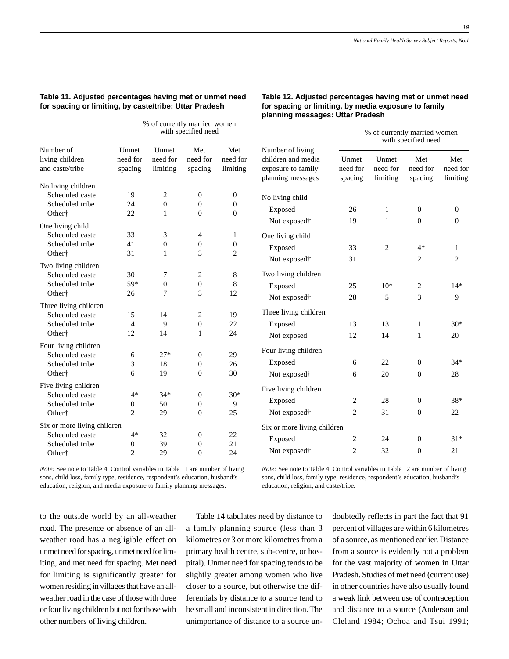## **Table 11. Adjusted percentages having met or unmet need for spacing or limiting, by caste/tribe: Uttar Pradesh**

Exposed  $26$  1 0 0 Not exposed  $\uparrow$  19 1 0 0

Exposed 33 2 4\* 1 Not exposed  $\uparrow$  31 1 2 2

Exposed 25  $10^*$  2  $14^*$ Not exposed† 28 5 3 9

Exposed  $13$   $13$   $1$   $30*$ Not exposed 12 14 1 20

Exposed 6 22 0 34\* Not exposed† 6 20 0 28

Exposed 2 28 0 38\* Not exposed† 2 31 0 22

Exposed 2 24 0 31\* Not exposed  $\uparrow$  2 32 0 21

|                                                                                         |                                        | % of currently married women    | with specified need              |                                                | planning messages: Ut                                                                            |
|-----------------------------------------------------------------------------------------|----------------------------------------|---------------------------------|----------------------------------|------------------------------------------------|--------------------------------------------------------------------------------------------------|
| Number of<br>living children<br>and caste/tribe                                         | Unmet<br>need for<br>spacing           | Unmet<br>need for<br>limiting   | Met<br>need for<br>spacing       | Met<br>need for<br>limiting                    | Number of living<br>children and media<br>τ<br>exposure to family<br>n<br>planning messages<br>S |
| No living children<br>Scheduled caste<br>Scheduled tribe<br>Other <sup>+</sup>          | 19<br>24<br>22                         | $\overline{c}$<br>$\theta$<br>1 | $\Omega$<br>$\Omega$<br>$\Omega$ | $\mathbf{0}$<br>$\mathbf{0}$<br>$\overline{0}$ | No living child<br>Exposed                                                                       |
| One living child                                                                        |                                        |                                 |                                  |                                                | Not exposed†                                                                                     |
| Scheduled caste<br>Scheduled tribe<br>Other <sup>+</sup>                                | 33<br>41<br>31                         | 3<br>$\Omega$<br>1              | $\overline{4}$<br>$\Omega$<br>3  | 1<br>$\mathbf{0}$<br>$\overline{c}$            | One living child<br>Exposed<br>Not exposed†                                                      |
| Two living children<br>Scheduled caste<br>Scheduled tribe<br>Other <sup>+</sup>         | 30<br>59*<br>26                        | 7<br>$\theta$<br>7              | 2<br>$\theta$<br>3               | 8<br>8<br>12                                   | Two living children<br>Exposed<br>Not exposed†                                                   |
| Three living children<br>Scheduled caste<br>Scheduled tribe<br>Other <sup>+</sup>       | 15<br>14<br>12                         | 14<br>9<br>14                   | $\overline{2}$<br>$\theta$<br>1  | 19<br>22<br>24                                 | Three living children<br>Exposed<br>Not exposed                                                  |
| Four living children<br>Scheduled caste<br>Scheduled tribe<br>Other <sup>+</sup>        | 6<br>3<br>6                            | $27*$<br>18<br>19               | $\Omega$<br>$\Omega$<br>$\theta$ | 29<br>26<br>30                                 | Four living children<br>Exposed<br>Not exposed†                                                  |
| Five living children<br>Scheduled caste<br>Scheduled tribe<br>Other <sup>+</sup>        | $4*$<br>$\mathbf{0}$<br>$\overline{c}$ | $34*$<br>50<br>29               | $\theta$<br>$\Omega$<br>$\theta$ | $30*$<br>9<br>25                               | Five living children<br>Exposed<br>Not exposed†                                                  |
| Six or more living children<br>Scheduled caste<br>Scheduled tribe<br>Other <sup>+</sup> | $4*$<br>$\mathbf{0}$<br>$\overline{c}$ | 32<br>39<br>29                  | $\theta$<br>$\theta$<br>$\theta$ | 22<br>21<br>24                                 | Six or more living children<br>Exposed<br>Not exposed†                                           |

*Note:* See note to Table 4. Control variables in Table 11 are number of living sons, child loss, family type, residence, respondent's education, husband's education, religion, and media exposure to family planning messages.

*Note:* See note to Table 4. Control variables in Table 12 are number of living sons, child loss, family type, residence, respondent's education, husband's education, religion, and caste/tribe.

to the outside world by an all-weather road. The presence or absence of an allweather road has a negligible effect on unmet need for spacing, unmet need for limiting, and met need for spacing. Met need for limiting is significantly greater for women residing in villages that have an allweather road in the case of those with three or four living children but not for those with other numbers of living children.

Table 14 tabulates need by distance to a family planning source (less than 3 kilometres or 3 or more kilometres from a primary health centre, sub-centre, or hospital). Unmet need for spacing tends to be slightly greater among women who live closer to a source, but otherwise the differentials by distance to a source tend to be small and inconsistent in direction. The unimportance of distance to a source undoubtedly reflects in part the fact that 91 percent of villages are within 6 kilometres of a source, as mentioned earlier. Distance from a source is evidently not a problem for the vast majority of women in Uttar Pradesh. Studies of met need (current use) in other countries have also usually found a weak link between use of contraception and distance to a source (Anderson and Cleland 1984; Ochoa and Tsui 1991;

| Table 12. Adjusted percentages having met or unmet need<br>for spacing or limiting, by media exposure to family<br>planning messages: Uttar Pradesh |                              |                               |                            |                             |
|-----------------------------------------------------------------------------------------------------------------------------------------------------|------------------------------|-------------------------------|----------------------------|-----------------------------|
|                                                                                                                                                     |                              | % of currently married women  | with specified need        |                             |
| Number of living<br>children and media<br>exposure to family<br>planning messages                                                                   | Unmet<br>need for<br>spacing | Unmet<br>need for<br>limiting | Met<br>need for<br>spacing | Met<br>need for<br>limiting |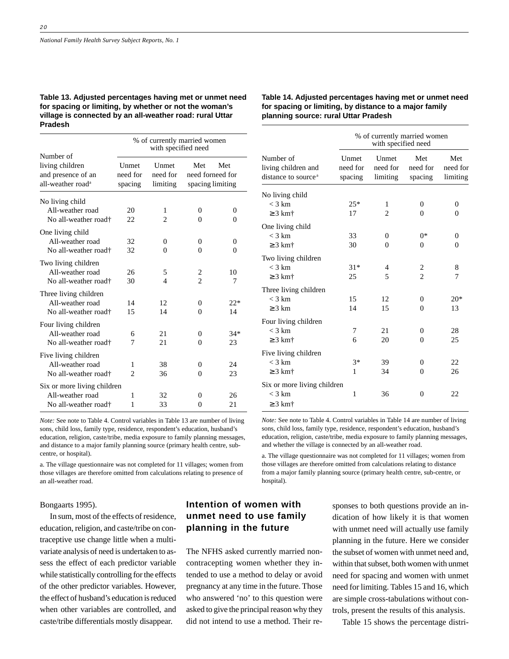### **Table 13. Adjusted percentages having met or unmet need for spacing or limiting, by whether or not the woman's village is connected by an all-weather road: rural Uttar Pradesh**

Number of living children Unmet Unmet Met Met and presence of an need for need for need forneed for all-weather road<sup>a</sup> spacing limiting spacing limiting No living child All-weather road 20 1 0 0 No all-weather road<sup>†</sup> 22 2 0 0 One living child All-weather road 32 0 0 0 No all-weather road† 32 0 0 0 0 Two living children All-weather road 26 5 2 10 No all-weather road<sup>†</sup> 30 4 2 7 Three living children All-weather road  $14$  12 0 22\* No all-weather road<sup>†</sup> 15 14 0 14 Four living children All-weather road  $6$  21 0 34\* No all-weather road<sup>†</sup> 7 21 0 23 Five living children All-weather road 1 38 0 24 No all-weather road<sup>†</sup> 2 36 0 23 Six or more living children All-weather road 1 32 0 26 No all-weather road<sup>†</sup> 1 33 0 21 % of currently married women with specified need

*Note:* See note to Table 4. Control variables in Table 13 are number of living sons, child loss, family type, residence, respondent's education, husband's education, religion, caste/tribe, media exposure to family planning messages, and distance to a major family planning source (primary health centre, subcentre, or hospital).

a. The village questionnaire was not completed for 11 villages; women from those villages are therefore omitted from calculations relating to presence of an all-weather road.

#### Bongaarts 1995).

In sum, most of the effects of residence, education, religion, and caste/tribe on contraceptive use change little when a multivariate analysis of need is undertaken to assess the effect of each predictor variable while statistically controlling for the effects of the other predictor variables. However, the effect of husband's education is reduced when other variables are controlled, and caste/tribe differentials mostly disappear.

### **Table 14. Adjusted percentages having met or unmet need for spacing or limiting, by distance to a major family planning source: rural Uttar Pradesh**

|                                                                     |                              | % of currently married women<br>with specified need |                            |                             |
|---------------------------------------------------------------------|------------------------------|-----------------------------------------------------|----------------------------|-----------------------------|
| Number of<br>living children and<br>distance to source <sup>a</sup> | Unmet<br>need for<br>spacing | Unmet<br>need for<br>limiting                       | Met<br>need for<br>spacing | Met<br>need for<br>limiting |
| No living child                                                     |                              |                                                     |                            |                             |
| $<$ 3 km<br>$\geq$ 3 km <sup>+</sup>                                | $25*$<br>17                  | 1<br>$\overline{2}$                                 | 0<br>0                     | $\theta$<br>$\theta$        |
| One living child                                                    |                              |                                                     |                            |                             |
| $<$ 3 km                                                            | 33                           | $\Omega$                                            | $0*$                       | $\theta$                    |
| $\geq$ 3 km <sup>+</sup>                                            | 30                           | $\Omega$                                            | 0                          | $\theta$                    |
| Two living children                                                 |                              |                                                     |                            |                             |
| $<$ 3 km                                                            | $31*$                        | 4                                                   | $\overline{\mathbf{c}}$    | 8                           |
| $\geq$ 3 km <sup>+</sup>                                            | 25                           | 5                                                   | $\overline{c}$             | 7                           |
| Three living children                                               |                              |                                                     |                            |                             |
| $<$ 3 km                                                            | 15                           | 12                                                  | $\Omega$                   | $20*$                       |
| $\geq$ 3 km                                                         | 14                           | 15                                                  | 0                          | 13                          |
| Four living children                                                |                              |                                                     |                            |                             |
| $<$ 3 km                                                            | 7                            | 21                                                  | 0                          | 28                          |
| $\geq$ 3 km <sup>+</sup>                                            | 6                            | 20                                                  | 0                          | 25                          |
| Five living children                                                |                              |                                                     |                            |                             |
| $<$ 3 km                                                            | $3*$                         | 39                                                  | $\Omega$                   | 22                          |
| $\geq$ 3 km <sup>+</sup>                                            | 1                            | 34                                                  | 0                          | 26                          |
| Six or more living children                                         |                              |                                                     |                            |                             |
| $<$ 3 km                                                            | 1                            | 36                                                  | $\theta$                   | 22                          |
| $\geq$ 3 km <sup>+</sup>                                            |                              |                                                     |                            |                             |

*Note:* See note to Table 4. Control variables in Table 14 are number of living sons, child loss, family type, residence, respondent's education, husband's education, religion, caste/tribe, media exposure to family planning messages, and whether the village is connected by an all-weather road.

a. The village questionnaire was not completed for 11 villages; women from those villages are therefore omitted from calculations relating to distance from a major family planning source (primary health centre, sub-centre, or hospital).

# **Intention of women with unmet need to use family planning in the future**

The NFHS asked currently married noncontracepting women whether they intended to use a method to delay or avoid pregnancy at any time in the future. Those who answered 'no' to this question were asked to give the principal reason why they did not intend to use a method. Their responses to both questions provide an indication of how likely it is that women with unmet need will actually use family planning in the future. Here we consider the subset of women with unmet need and, within that subset, both women with unmet need for spacing and women with unmet need for limiting. Tables 15 and 16, which are simple cross-tabulations without controls, present the results of this analysis.

Table 15 shows the percentage distri-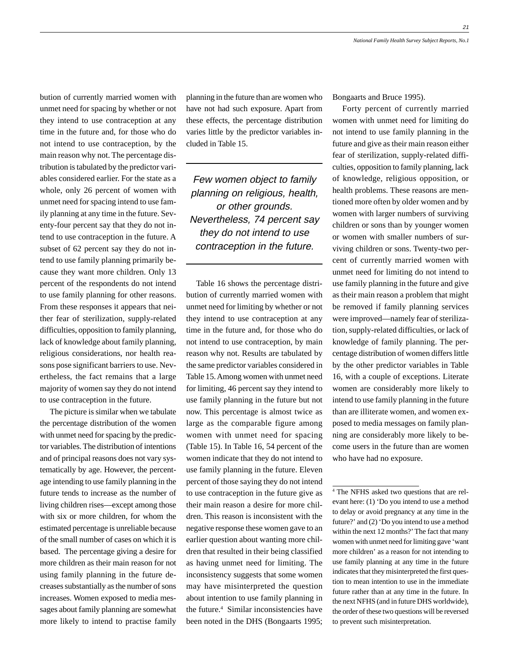bution of currently married women with unmet need for spacing by whether or not they intend to use contraception at any time in the future and, for those who do not intend to use contraception, by the main reason why not. The percentage distribution is tabulated by the predictor variables considered earlier. For the state as a whole, only 26 percent of women with unmet need for spacing intend to use family planning at any time in the future. Seventy-four percent say that they do not intend to use contraception in the future. A subset of 62 percent say they do not intend to use family planning primarily because they want more children. Only 13 percent of the respondents do not intend to use family planning for other reasons. From these responses it appears that neither fear of sterilization, supply-related difficulties, opposition to family planning, lack of knowledge about family planning, religious considerations, nor health reasons pose significant barriers to use. Nevertheless, the fact remains that a large majority of women say they do not intend to use contraception in the future.

The picture is similar when we tabulate the percentage distribution of the women with unmet need for spacing by the predictor variables. The distribution of intentions and of principal reasons does not vary systematically by age. However, the percentage intending to use family planning in the future tends to increase as the number of living children rises—except among those with six or more children, for whom the estimated percentage is unreliable because of the small number of cases on which it is based. The percentage giving a desire for more children as their main reason for not using family planning in the future decreases substantially as the number of sons increases. Women exposed to media messages about family planning are somewhat more likely to intend to practise family

planning in the future than are women who have not had such exposure. Apart from these effects, the percentage distribution varies little by the predictor variables included in Table 15.

Few women object to family planning on religious, health, or other grounds. Nevertheless, 74 percent say they do not intend to use contraception in the future.

Table 16 shows the percentage distribution of currently married women with unmet need for limiting by whether or not they intend to use contraception at any time in the future and, for those who do not intend to use contraception, by main reason why not. Results are tabulated by the same predictor variables considered in Table 15. Among women with unmet need for limiting, 46 percent say they intend to use family planning in the future but not now. This percentage is almost twice as large as the comparable figure among women with unmet need for spacing (Table 15). In Table 16, 54 percent of the women indicate that they do not intend to use family planning in the future. Eleven percent of those saying they do not intend to use contraception in the future give as their main reason a desire for more children. This reason is inconsistent with the negative response these women gave to an earlier question about wanting more children that resulted in their being classified as having unmet need for limiting. The inconsistency suggests that some women may have misinterpreted the question about intention to use family planning in the future.4 Similar inconsistencies have been noted in the DHS (Bongaarts 1995;

Bongaarts and Bruce 1995).

Forty percent of currently married women with unmet need for limiting do not intend to use family planning in the future and give as their main reason either fear of sterilization, supply-related difficulties, opposition to family planning, lack of knowledge, religious opposition, or health problems. These reasons are mentioned more often by older women and by women with larger numbers of surviving children or sons than by younger women or women with smaller numbers of surviving children or sons. Twenty-two percent of currently married women with unmet need for limiting do not intend to use family planning in the future and give as their main reason a problem that might be removed if family planning services were improved—namely fear of sterilization, supply-related difficulties, or lack of knowledge of family planning. The percentage distribution of women differs little by the other predictor variables in Table 16, with a couple of exceptions. Literate women are considerably more likely to intend to use family planning in the future than are illiterate women, and women exposed to media messages on family planning are considerably more likely to become users in the future than are women who have had no exposure.

<sup>4</sup> The NFHS asked two questions that are relevant here: (1) 'Do you intend to use a method to delay or avoid pregnancy at any time in the future?' and (2) 'Do you intend to use a method within the next 12 months?' The fact that many women with unmet need for limiting gave 'want more children' as a reason for not intending to use family planning at any time in the future indicates that they misinterpreted the first question to mean intention to use in the immediate future rather than at any time in the future. In the next NFHS (and in future DHS worldwide), the order of these two questions will be reversed to prevent such misinterpretation.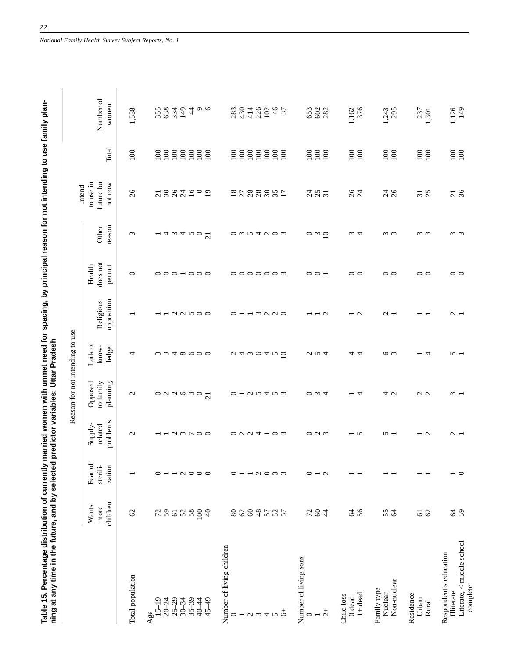| Ì                                                                                                        |                                                                   |
|----------------------------------------------------------------------------------------------------------|-------------------------------------------------------------------|
| ourrently married women with unmet need for spacing. by princinal reason for not intending to use family |                                                                   |
|                                                                                                          |                                                                   |
|                                                                                                          |                                                                   |
|                                                                                                          |                                                                   |
|                                                                                                          |                                                                   |
|                                                                                                          |                                                                   |
|                                                                                                          |                                                                   |
|                                                                                                          |                                                                   |
|                                                                                                          |                                                                   |
|                                                                                                          |                                                                   |
|                                                                                                          |                                                                   |
|                                                                                                          |                                                                   |
|                                                                                                          |                                                                   |
|                                                                                                          |                                                                   |
|                                                                                                          |                                                                   |
|                                                                                                          |                                                                   |
|                                                                                                          |                                                                   |
|                                                                                                          |                                                                   |
|                                                                                                          |                                                                   |
|                                                                                                          |                                                                   |
|                                                                                                          |                                                                   |
| יִ-נְבְּדְרָה וּתְהַבְּדְרָה וּתְהַבְּדְרָה וּמִי הַבְּדְרָה וּתְהַבְּדְרָה וּ                           |                                                                   |
|                                                                                                          | -<br>-<br>-<br>-<br>-<br>-<br>-<br>-<br>-<br><br><br><br><br><br> |
|                                                                                                          |                                                                   |
|                                                                                                          |                                                                   |
|                                                                                                          | .                                                                 |
|                                                                                                          |                                                                   |
|                                                                                                          |                                                                   |
|                                                                                                          |                                                                   |
|                                                                                                          | lected predicto                                                   |
|                                                                                                          |                                                                   |
|                                                                                                          | v ser                                                             |
|                                                                                                          |                                                                   |
|                                                                                                          |                                                                   |
|                                                                                                          | ،<br>م                                                            |
|                                                                                                          |                                                                   |
| í                                                                                                        |                                                                   |
|                                                                                                          |                                                                   |
|                                                                                                          |                                                                   |
|                                                                                                          | ng at any time                                                    |
|                                                                                                          |                                                                   |
|                                                                                                          |                                                                   |
|                                                                                                          |                                                                   |

|                                            |                           |                               |                                | Reason for not intending to use |                                      |                                      |                                  |                         |                                              |                                           |                                  |
|--------------------------------------------|---------------------------|-------------------------------|--------------------------------|---------------------------------|--------------------------------------|--------------------------------------|----------------------------------|-------------------------|----------------------------------------------|-------------------------------------------|----------------------------------|
|                                            | children<br>Wants<br>more | Fear of<br>sterili-<br>zation | problems<br>Supply-<br>related | to family planning<br>Opposed   | Lack of<br>know-<br>ledge            | opposition<br>Religious              | does not<br>permit<br>Health     | reason<br>Other         | future but<br>to use in<br>not now<br>Intend | $\mbox{Total}$                            | Number of<br>women               |
| Total population                           | $\mathcal{L}$             |                               | $\mathbf{C}$                   | $\mathbf{C}$                    | 4                                    |                                      | $\circ$                          | $\omega$                | 26                                           | 100                                       | 1,538                            |
| Age                                        |                           |                               |                                |                                 |                                      |                                      |                                  |                         |                                              |                                           |                                  |
| $15 - 19$                                  |                           | $\circ$                       |                                |                                 |                                      |                                      |                                  |                         |                                              | $\Xi$                                     | 355                              |
| $20 - 24$                                  |                           |                               |                                |                                 |                                      |                                      |                                  |                         |                                              | $\frac{20}{100}$                          | 8849                             |
| $25 - 29$<br>$30 - 34$                     |                           |                               |                                |                                 |                                      |                                      |                                  |                         |                                              | $\overline{5}$                            |                                  |
| $35 - 39$                                  |                           |                               |                                |                                 |                                      |                                      |                                  |                         |                                              | $\overline{100}$                          |                                  |
| 40-44<br>$45 - 49$                         | $55558899$                | $- - 0000$                    | $  \sim$ $\sim$ $\sim$ $\sim$  |                                 | $m + \infty$ $\circ$ $\circ$ $\circ$ | $  \sim$ $\sim$ $\sim$ $\sim$ $\sim$ | $\circ\circ\circ\circ\circ\circ$ | $-4.0400$ $\frac{1}{2}$ | 7883202                                      | $\frac{80}{100}$                          | $\stackrel{\textstyle +}{4}$ o e |
|                                            |                           |                               |                                |                                 |                                      |                                      |                                  |                         |                                              |                                           |                                  |
| Number of living children                  |                           |                               |                                |                                 |                                      |                                      |                                  |                         |                                              |                                           |                                  |
| $\circ$                                    |                           | $\circ$                       |                                |                                 |                                      |                                      |                                  |                         | 25888                                        | $\frac{80}{100}$                          | 283<br>430                       |
|                                            |                           |                               |                                |                                 |                                      |                                      |                                  |                         |                                              |                                           |                                  |
|                                            |                           |                               |                                |                                 |                                      |                                      |                                  |                         |                                              | $\frac{20}{100}$                          | $\frac{438}{282}$                |
|                                            |                           |                               |                                |                                 |                                      |                                      |                                  |                         |                                              | $\overline{100}$                          |                                  |
| $     +$ $ +$ $ +$                         | 2283525                   | $  \sim$ $\sim$ $\sim$ $\sim$ | $0.044 - 0.00$                 | $0 - 0$ $0 - 4$ $0 - 0$         | $a + a$ $c + a$ $c$                  | $0 -  0  0 -$                        | 000000m                          | own 4000                | 35                                           | $\frac{20}{100}$                          | 46                               |
|                                            |                           |                               |                                |                                 |                                      |                                      |                                  |                         |                                              |                                           |                                  |
| Number of living sons                      |                           |                               |                                |                                 |                                      |                                      |                                  |                         |                                              |                                           |                                  |
| $\circ$                                    | 72                        | $\circ$                       |                                |                                 |                                      |                                      |                                  |                         |                                              | $\approx$                                 |                                  |
| $\overline{c}$<br>$\overline{\phantom{a}}$ | $\ddot{4}$                | $\overline{\phantom{0}}$      | $\circ$ a $\circ$              | $\circ$ $\omega$ 4              | UU4                                  | $ \sim$                              | $\circ$ $\circ$ $\sim$           | $\circ$ m $\circ$       | $\frac{3}{25}$ ង ឆ                           | 100<br>$\overline{100}$                   | 532                              |
|                                            |                           |                               |                                |                                 |                                      |                                      |                                  |                         |                                              |                                           |                                  |
| Child loss<br>$0$ dead                     |                           |                               |                                |                                 |                                      |                                      |                                  |                         |                                              | $\approx$                                 |                                  |
| $1 + dead$                                 | 280                       |                               | $-5$                           | $-4$                            | च च                                  | $\overline{\phantom{0}}$             | $\circ$                          | $\omega$ 4              | 84                                           | 100                                       | 1,162<br>376                     |
|                                            |                           |                               |                                |                                 |                                      |                                      |                                  |                         |                                              |                                           |                                  |
| Family type                                |                           |                               |                                |                                 |                                      |                                      |                                  |                         |                                              |                                           |                                  |
| Nuclear<br>Non-nuclear                     | S 3                       |                               | $\sim$ $-$                     | 4 U                             | 6 m                                  | $\sim$ $-$                           | $\circ$                          | $\omega$ $\omega$       | 748                                          | $\begin{array}{c} 100 \\ 100 \end{array}$ | 1,243                            |
| Residence                                  |                           |                               |                                |                                 |                                      |                                      |                                  |                         |                                              |                                           |                                  |
| Urban                                      | 58                        |                               | $\overline{\phantom{a}}$       | $\sim$ $\sim$                   | $\overline{\phantom{a}}$             |                                      | $\circ$                          | $\omega$ $\omega$       | $\frac{5}{25}$                               | $\begin{array}{c} 20 \\ 100 \end{array}$  | 237<br>1,301                     |
| Rural                                      |                           |                               |                                |                                 |                                      |                                      |                                  |                         |                                              |                                           |                                  |
| Respondent's education                     |                           |                               |                                |                                 |                                      |                                      |                                  |                         |                                              |                                           |                                  |
| Literate, < middle school<br>Illiterate    | 29                        | $\overline{\phantom{0}}$      | $\sim$ $-$                     | $\omega$ $-$                    | $\sim$ $-$                           | $\sim$ $-$                           | $\circ$                          | $\omega$ $\omega$       | $\frac{21}{36}$                              | $\begin{array}{c} 100 \\ 100 \end{array}$ | 1,126                            |
| complete                                   |                           |                               |                                |                                 |                                      |                                      |                                  |                         |                                              |                                           |                                  |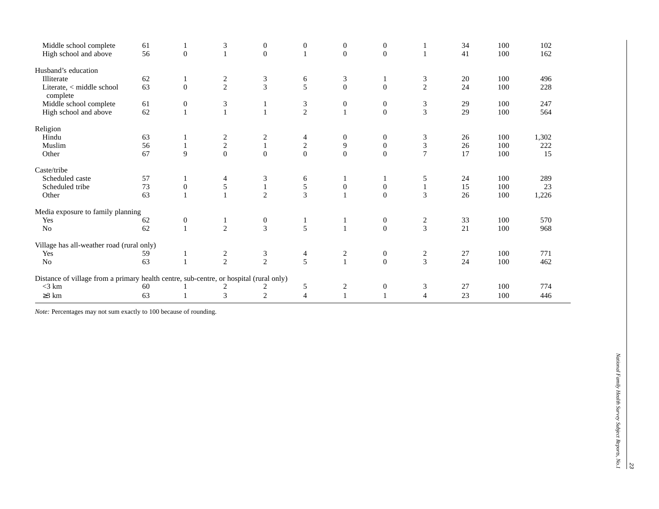| Middle school complete                                                                 | 61 | 1                | $\ensuremath{\mathfrak{Z}}$ | $\boldsymbol{0}$                 | $\boldsymbol{0}$            | $\boldsymbol{0}$ | $\boldsymbol{0}$ |                | 34 | 100 | 102   |
|----------------------------------------------------------------------------------------|----|------------------|-----------------------------|----------------------------------|-----------------------------|------------------|------------------|----------------|----|-----|-------|
| High school and above                                                                  | 56 | $\mathbf{0}$     |                             | $\mathbf{0}$                     | $\mathbf{1}$                | $\overline{0}$   | $\boldsymbol{0}$ |                | 41 | 100 | 162   |
| Husband's education                                                                    |    |                  |                             |                                  |                             |                  |                  |                |    |     |       |
| Illiterate                                                                             | 62 | 1                | $\frac{2}{2}$               | $\frac{3}{3}$                    | $\sqrt{6}$                  | 3                |                  | $\frac{3}{2}$  | 20 | 100 | 496   |
| Literate, < middle school<br>complete                                                  | 63 | $\boldsymbol{0}$ |                             |                                  | 5                           | $\mathbf 0$      | $\mathbf{0}$     |                | 24 | 100 | 228   |
| Middle school complete                                                                 | 61 | $\mathbf{0}$     | 3                           |                                  | $\boldsymbol{\mathfrak{Z}}$ | $\boldsymbol{0}$ | $\boldsymbol{0}$ | $\mathfrak{Z}$ | 29 | 100 | 247   |
| High school and above                                                                  | 62 | $\mathbf{1}$     |                             | $\mathbf{1}$                     | $\overline{2}$              |                  | $\boldsymbol{0}$ | $\overline{3}$ | 29 | 100 | 564   |
| Religion                                                                               |    |                  |                             |                                  |                             |                  |                  |                |    |     |       |
| Hindu                                                                                  | 63 |                  |                             |                                  | 4                           | $\boldsymbol{0}$ | $\boldsymbol{0}$ | $\mathfrak{Z}$ | 26 | 100 | 1,302 |
| Muslim                                                                                 | 56 | 1                | $\frac{2}{2}$               | $\frac{2}{1}$                    | $\sqrt{2}$                  | $\overline{9}$   | $\boldsymbol{0}$ | $rac{3}{7}$    | 26 | 100 | 222   |
| Other                                                                                  | 67 | 9                | $\overline{0}$              | $\mathbf{0}$                     | $\mathbf{0}$                | $\mathbf{0}$     | $\theta$         |                | 17 | 100 | 15    |
| Caste/tribe                                                                            |    |                  |                             |                                  |                             |                  |                  |                |    |     |       |
| Scheduled caste                                                                        | 57 | 1                | 4                           | 3                                | 6                           | $\mathbf{I}$     | 1                | 5              | 24 | 100 | 289   |
| Scheduled tribe                                                                        | 73 | $\boldsymbol{0}$ | 5                           | $\,1$                            | $\sqrt{5}$                  | $\boldsymbol{0}$ | $\boldsymbol{0}$ |                | 15 | 100 | 23    |
| Other                                                                                  | 63 |                  |                             | $\overline{2}$                   | $\overline{3}$              | $\mathbf{1}$     | $\Omega$         | $\overline{3}$ | 26 | 100 | 1,226 |
| Media exposure to family planning                                                      |    |                  |                             |                                  |                             |                  |                  |                |    |     |       |
| Yes                                                                                    | 62 | $\boldsymbol{0}$ | 1                           |                                  | $\mathbf{1}$                |                  | $\boldsymbol{0}$ | $\frac{2}{3}$  | 33 | 100 | 570   |
| No                                                                                     | 62 | $\mathbf{1}$     | $\overline{c}$              | $\begin{matrix}0\\3\end{matrix}$ | 5                           |                  | $\boldsymbol{0}$ |                | 21 | 100 | 968   |
| Village has all-weather road (rural only)                                              |    |                  |                             |                                  |                             |                  |                  |                |    |     |       |
| Yes                                                                                    | 59 | 1                | $\frac{2}{2}$               |                                  | $\overline{4}$              |                  | $\boldsymbol{0}$ |                | 27 | 100 | 771   |
| No                                                                                     | 63 |                  |                             | $\frac{3}{2}$                    | 5                           | $\frac{2}{1}$    | $\boldsymbol{0}$ | $\frac{2}{3}$  | 24 | 100 | 462   |
| Distance of village from a primary health centre, sub-centre, or hospital (rural only) |    |                  |                             |                                  |                             |                  |                  |                |    |     |       |
| $<$ 3 km                                                                               | 60 |                  | 2                           | 2                                | 5                           | $\overline{c}$   | $\boldsymbol{0}$ | 3              | 27 | 100 | 774   |
| $\geq$ 3 km                                                                            | 63 |                  | 3                           | $\overline{2}$                   | $\overline{4}$              |                  |                  | $\overline{4}$ | 23 | 100 | 446   |

*Note:* Percentages may not sum exactly to 100 because of rounding.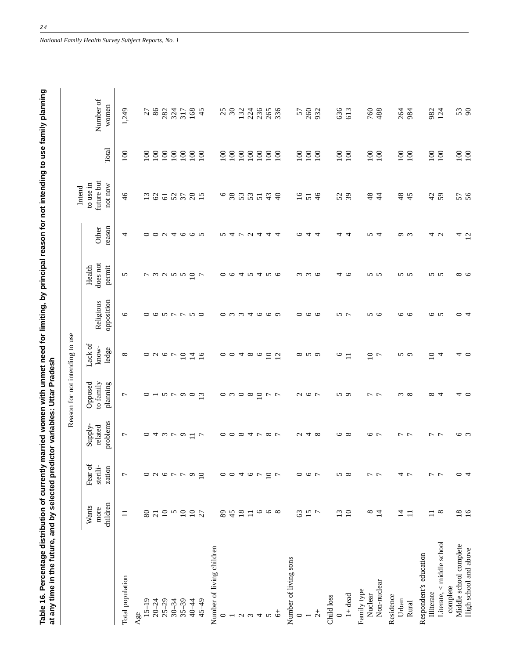| י<br>:                                                    |             |
|-----------------------------------------------------------|-------------|
| lima hur princinci reseau for not intendina te use family |             |
| י<br>3<br>3                                               |             |
|                                                           |             |
|                                                           |             |
|                                                           |             |
|                                                           |             |
|                                                           |             |
|                                                           |             |
|                                                           |             |
|                                                           |             |
| $\frac{2}{3}$                                             |             |
|                                                           |             |
| i                                                         |             |
|                                                           |             |
|                                                           | å           |
|                                                           |             |
| <b>Find Women with I</b>                                  |             |
|                                                           |             |
|                                                           |             |
|                                                           | $\ddot{}}$  |
| È,                                                        | ēg          |
| $\overline{=}$                                            | į<br>Š      |
| 5<br>5<br>-                                               |             |
|                                                           | e. and by s |
| ļ                                                         |             |
| <b>EXPLAST</b>                                            |             |
|                                                           |             |
| i                                                         |             |
| ׇׇ֖֪֖֚֬֞<br>֪֛֚֞<br>_<br>ນ                                | ;           |
|                                                           | :           |

| at any time in the future, and by selected predictor variables: Uttar Pradesh |                           |                               |                                             | Reason for not intending to use             |                                                       |                                                 |                                           |                 | Intend                             |                                           |                    |
|-------------------------------------------------------------------------------|---------------------------|-------------------------------|---------------------------------------------|---------------------------------------------|-------------------------------------------------------|-------------------------------------------------|-------------------------------------------|-----------------|------------------------------------|-------------------------------------------|--------------------|
|                                                                               | children<br>Wants<br>more | Fear of<br>zation<br>sterili- | problems<br>Supply-<br>related              | to family<br>Opposed<br>planning            | Lack of<br>know-<br>ledge                             | opposition<br>Religious                         | does not<br>Health<br>permit              | reason<br>Other | future but<br>to use in<br>not now | Total                                     | Number of<br>women |
| Total population                                                              | $\equiv$                  | 7                             | $\overline{ }$                              | 7                                           | $\infty$                                              | $\circ$                                         | 5                                         | 4               | $\frac{4}{6}$                      | 100                                       | 1,249              |
| Age                                                                           |                           |                               |                                             |                                             |                                                       |                                                 |                                           |                 |                                    |                                           |                    |
| $15 - 19$                                                                     | $80\,$                    |                               |                                             |                                             |                                                       |                                                 |                                           |                 | $\Xi$                              | $\geq$                                    |                    |
| $20 - 24$                                                                     | $\overline{21}$           |                               |                                             |                                             |                                                       |                                                 |                                           |                 | $\mathcal{C}$                      | $\overline{100}$                          |                    |
| $25 - 29$                                                                     | $\overline{10}$           | 00007                         |                                             |                                             | $\begin{array}{c} 0 & 0 & 0 \\ 0 & 0 & 0 \end{array}$ |                                                 |                                           |                 | $\overline{61}$                    | $\overline{100}$                          | <b>ដ</b> ននី ឌី    |
| $30 - 34$                                                                     | $\sim$                    |                               |                                             |                                             |                                                       |                                                 |                                           |                 | 52                                 | $\overline{100}$                          |                    |
| $35 - 39$                                                                     | $\overline{10}$           |                               | 040000                                      |                                             |                                                       |                                                 |                                           |                 | $\overline{\mathcal{E}}$           | $\geq$                                    | 317                |
| 40-44                                                                         | $\overline{10}$           | $\degree$ 0                   |                                             | $0 - n \wedge n \otimes n$                  | $\frac{14}{6}$                                        | 0.997790                                        | $P$ $m \alpha$ $n \alpha \beta$ $n \beta$ | 0004665         | $28^{15}$                          | $\overline{100}$                          | 168                |
| $45 - 49$                                                                     | 27                        |                               | $\overline{r}$                              |                                             |                                                       |                                                 |                                           |                 |                                    | 100                                       | 45                 |
| Number of living children                                                     |                           |                               |                                             |                                             |                                                       |                                                 |                                           |                 |                                    |                                           |                    |
| 0                                                                             | 89                        |                               |                                             |                                             |                                                       |                                                 |                                           |                 | 6                                  | $\geq$                                    | 25                 |
| $\overline{\phantom{a}}$                                                      | 45                        | $\circ$ $\circ$               | $0$ $0$ $\alpha$ $+$ $\sim$ $\alpha$ $\sim$ | $\circ \circ \circ \circ \circ \circ \circ$ | $\circ$ $\circ$                                       | $\circ$ $\circ$ $\circ$ $\circ$ $\circ$ $\circ$ | 0.040400                                  | <b>NALUA44</b>  | 38                                 | $\geq$                                    | 30                 |
|                                                                               | 18                        |                               |                                             |                                             |                                                       |                                                 |                                           |                 | 53                                 | 100                                       | 132                |
| $U \omega 4$                                                                  | $\equiv$                  | $4\circ$                      |                                             |                                             | $4 \times 65$                                         |                                                 |                                           |                 | 53                                 | $\overline{100}$                          | 224                |
|                                                                               | $\circ$                   | $\overline{r}$                |                                             |                                             |                                                       |                                                 |                                           |                 | $\overline{51}$                    | $\overline{100}$                          | 236<br>265<br>336  |
| $\sim$                                                                        | $\circ$ $\infty$          | $\frac{0}{7}$                 |                                             |                                             |                                                       |                                                 |                                           |                 | 43                                 | 100                                       |                    |
| $\vec{\circ}$                                                                 |                           |                               |                                             |                                             | $\overline{c}$                                        |                                                 |                                           |                 | $\Theta$                           | 100                                       |                    |
| Number of living sons                                                         |                           |                               |                                             |                                             |                                                       |                                                 |                                           |                 |                                    |                                           |                    |
| $\circ$                                                                       | 63                        |                               |                                             |                                             |                                                       |                                                 |                                           | O               | $\overline{91}$                    | 100                                       | 57                 |
|                                                                               | $\frac{15}{7}$            | $\circ$ $\circ$ $\circ$       | $\alpha$ 4 $\infty$                         | 700                                         | $\infty$ in $\infty$                                  | $\circ \circ \circ$                             | $m \, \, m \, \, \omega$                  | न न             | 51                                 | $\overline{100}$                          | 260<br>932         |
| $\overline{c}$                                                                |                           |                               |                                             |                                             |                                                       |                                                 |                                           |                 |                                    | 100                                       |                    |
| Child loss                                                                    |                           |                               |                                             |                                             |                                                       |                                                 |                                           |                 |                                    |                                           |                    |
| $\circ$                                                                       | $\frac{13}{10}$           | $\frac{5}{2}$                 |                                             |                                             | $\circ$                                               | n r                                             |                                           | 4               | 52                                 | 100                                       | 636                |
| $1+$ dead                                                                     |                           |                               | ७ ∞                                         | n a                                         | $\Box$                                                |                                                 | 40                                        | $\overline{4}$  |                                    | 100                                       | 613                |
| Family type                                                                   |                           |                               |                                             |                                             |                                                       |                                                 |                                           |                 |                                    |                                           |                    |
| Nuclear                                                                       | $^{\circ}$                | ファ                            | つ い                                         | ファ                                          | $\frac{0}{7}$                                         | n 0                                             | n n                                       | N 4             | 48                                 | 100                                       | 760                |
| Non-nuclear                                                                   | $\overline{4}$            |                               |                                             |                                             |                                                       |                                                 |                                           |                 | $\ddot{4}$                         | $\overline{100}$                          | 488                |
| Residence                                                                     |                           |                               |                                             |                                             |                                                       |                                                 |                                           |                 |                                    |                                           |                    |
| Urban                                                                         | $\overline{4}$            | 4 L                           | ファ                                          | $\infty$                                    | n a                                                   | ०७                                              | n w                                       | o w             | $\frac{8}{3}$                      | 100                                       | 264<br>984         |
| Rural                                                                         | $\Xi$                     |                               |                                             |                                             |                                                       |                                                 |                                           |                 | 45                                 | 100                                       |                    |
| Respondent's education                                                        |                           |                               |                                             |                                             |                                                       |                                                 |                                           |                 |                                    |                                           |                    |
| Illiterate                                                                    | $\equiv$                  | ファ                            | ファ                                          | $\infty$ 4                                  | $\overline{10}$                                       | 6 n                                             | n n                                       | 4 U             | 42                                 | 100                                       | 982                |
| Literate, < middle school                                                     | $\infty$                  |                               |                                             |                                             | $\overline{4}$                                        |                                                 |                                           |                 | 59                                 | 100                                       | 124                |
| complete                                                                      |                           |                               |                                             |                                             |                                                       |                                                 |                                           |                 |                                    |                                           |                    |
| Middle school complete                                                        | $\frac{8}{16}$            | $\circ$ 4                     | 6 m                                         | 4 ○                                         | 4 ○                                                   | $\circ$ 4                                       | $\infty$ $\infty$                         | $4\overline{5}$ | 57<br>56                           | $\begin{array}{c} 100 \\ 100 \end{array}$ | 53                 |
| High school and above                                                         |                           |                               |                                             |                                             |                                                       |                                                 |                                           |                 |                                    |                                           |                    |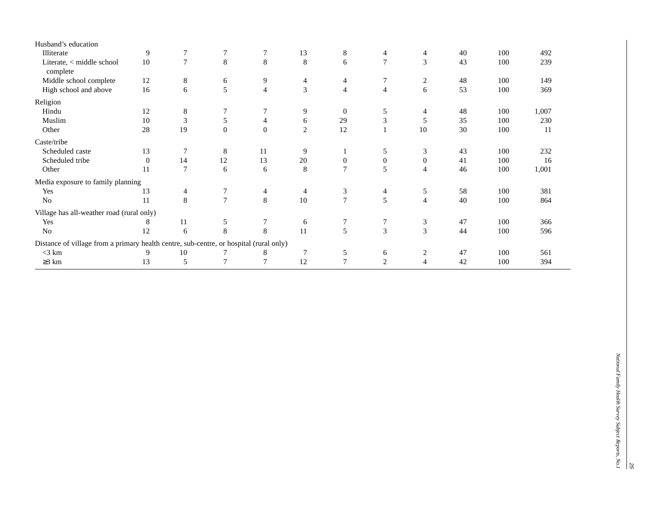| Husband's education                                                                    |          |                |                |              |              |                |                |                |    |     |       |
|----------------------------------------------------------------------------------------|----------|----------------|----------------|--------------|--------------|----------------|----------------|----------------|----|-----|-------|
| Illiterate                                                                             | 9        | 7              |                | 7            | 13           | 8              | 4              | 4              | 40 | 100 | 492   |
| Literate, < middle school<br>complete                                                  | 10       | $\tau$         | $\,8\,$        | $\,8\,$      | $\,8\,$      | 6              | $\overline{7}$ | 3              | 43 | 100 | 239   |
| Middle school complete                                                                 | 12       | 8              | 6              | 9            | 4            | 4              | 7              | $\overline{c}$ | 48 | 100 | 149   |
| High school and above                                                                  | 16       | 6              | 5              | 4            | 3            | $\overline{4}$ | $\overline{4}$ | 6              | 53 | 100 | 369   |
| Religion                                                                               |          |                |                |              |              |                |                |                |    |     |       |
| Hindu                                                                                  | 12       | 8              |                | $\tau$       | 9            | $\Omega$       | 5              | 4              | 48 | 100 | 1,007 |
| Muslim                                                                                 | 10       | 3              | 5              | 4            | 6            | 29             | 3              | 5              | 35 | 100 | 230   |
| Other                                                                                  | 28       | 19             | $\Omega$       | $\mathbf{0}$ | $\mathbf{2}$ | 12             |                | 10             | 30 | 100 | 11    |
| Caste/tribe                                                                            |          |                |                |              |              |                |                |                |    |     |       |
| Scheduled caste                                                                        | 13       | $\overline{7}$ | 8              | 11           | 9            |                | 5              | 3              | 43 | 100 | 232   |
| Scheduled tribe                                                                        | $\theta$ | 14             | 12             | 13           | 20           | $\mathbf{0}$   | $\mathbf{0}$   | $\overline{0}$ | 41 | 100 | 16    |
| Other                                                                                  | 11       | $\tau$         | 6              | 6            | 8            | $\overline{7}$ | 5              | 4              | 46 | 100 | 1,001 |
| Media exposure to family planning                                                      |          |                |                |              |              |                |                |                |    |     |       |
| Yes                                                                                    | 13       | 4              |                | 4            | 4            | 3              | 4              | 5              | 58 | 100 | 381   |
| N <sub>o</sub>                                                                         | 11       | 8              | $\overline{7}$ | 8            | 10           | $\overline{7}$ | 5              | $\overline{4}$ | 40 | 100 | 864   |
| Village has all-weather road (rural only)                                              |          |                |                |              |              |                |                |                |    |     |       |
| Yes                                                                                    | 8        | 11             | 5              | 7            | 6            | 7              | 7              | 3              | 47 | 100 | 366   |
| N <sub>o</sub>                                                                         | 12       | 6              | 8              | 8            | 11           | 5              | 3              | $\overline{3}$ | 44 | 100 | 596   |
| Distance of village from a primary health centre, sub-centre, or hospital (rural only) |          |                |                |              |              |                |                |                |    |     |       |
| $<$ 3 km                                                                               | 9        | 10             |                | 8            | $\tau$       | 5              | 6              | 2              | 47 | 100 | 561   |
| $\geq$ 3 km                                                                            | 13       | 5              |                | 7            | 12           | 7              | $\overline{2}$ | 4              | 42 | 100 | 394   |
|                                                                                        |          |                |                |              |              |                |                |                |    |     |       |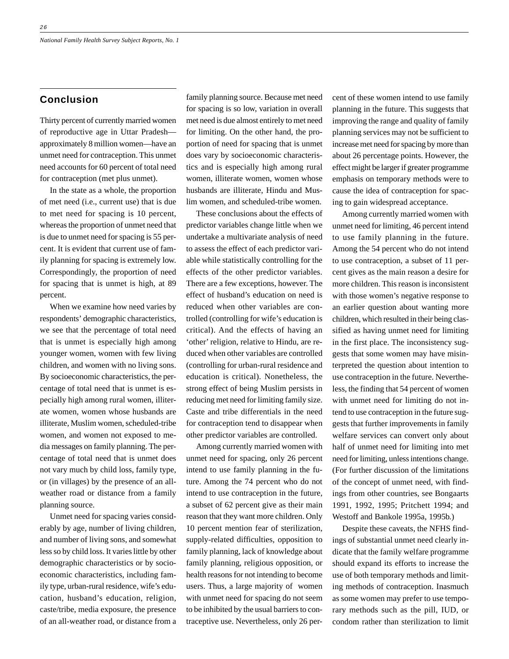## **Conclusion**

Thirty percent of currently married women of reproductive age in Uttar Pradesh approximately 8 million women—have an unmet need for contraception. This unmet need accounts for 60 percent of total need for contraception (met plus unmet).

In the state as a whole, the proportion of met need (i.e., current use) that is due to met need for spacing is 10 percent, whereas the proportion of unmet need that is due to unmet need for spacing is 55 percent. It is evident that current use of family planning for spacing is extremely low. Correspondingly, the proportion of need for spacing that is unmet is high, at 89 percent.

When we examine how need varies by respondents' demographic characteristics, we see that the percentage of total need that is unmet is especially high among younger women, women with few living children, and women with no living sons. By socioeconomic characteristics, the percentage of total need that is unmet is especially high among rural women, illiterate women, women whose husbands are illiterate, Muslim women, scheduled-tribe women, and women not exposed to media messages on family planning. The percentage of total need that is unmet does not vary much by child loss, family type, or (in villages) by the presence of an allweather road or distance from a family planning source.

Unmet need for spacing varies considerably by age, number of living children, and number of living sons, and somewhat less so by child loss. It varies little by other demographic characteristics or by socioeconomic characteristics, including family type, urban-rural residence, wife's education, husband's education, religion, caste/tribe, media exposure, the presence of an all-weather road, or distance from a

family planning source. Because met need for spacing is so low, variation in overall met need is due almost entirely to met need for limiting. On the other hand, the proportion of need for spacing that is unmet does vary by socioeconomic characteristics and is especially high among rural women, illiterate women, women whose husbands are illiterate, Hindu and Muslim women, and scheduled-tribe women.

These conclusions about the effects of predictor variables change little when we undertake a multivariate analysis of need to assess the effect of each predictor variable while statistically controlling for the effects of the other predictor variables. There are a few exceptions, however. The effect of husband's education on need is reduced when other variables are controlled (controlling for wife's education is critical). And the effects of having an 'other' religion, relative to Hindu, are reduced when other variables are controlled (controlling for urban-rural residence and education is critical). Nonetheless, the strong effect of being Muslim persists in reducing met need for limiting family size. Caste and tribe differentials in the need for contraception tend to disappear when other predictor variables are controlled.

Among currently married women with unmet need for spacing, only 26 percent intend to use family planning in the future. Among the 74 percent who do not intend to use contraception in the future, a subset of 62 percent give as their main reason that they want more children. Only 10 percent mention fear of sterilization, supply-related difficulties, opposition to family planning, lack of knowledge about family planning, religious opposition, or health reasons for not intending to become users. Thus, a large majority of women with unmet need for spacing do not seem to be inhibited by the usual barriers to contraceptive use. Nevertheless, only 26 percent of these women intend to use family planning in the future. This suggests that improving the range and quality of family planning services may not be sufficient to increase met need for spacing by more than about 26 percentage points. However, the effect might be larger if greater programme emphasis on temporary methods were to cause the idea of contraception for spacing to gain widespread acceptance.

Among currently married women with unmet need for limiting, 46 percent intend to use family planning in the future. Among the 54 percent who do not intend to use contraception, a subset of 11 percent gives as the main reason a desire for more children. This reason is inconsistent with those women's negative response to an earlier question about wanting more children, which resulted in their being classified as having unmet need for limiting in the first place. The inconsistency suggests that some women may have misinterpreted the question about intention to use contraception in the future. Nevertheless, the finding that 54 percent of women with unmet need for limiting do not intend to use contraception in the future suggests that further improvements in family welfare services can convert only about half of unmet need for limiting into met need for limiting, unless intentions change. (For further discussion of the limitations of the concept of unmet need, with findings from other countries, see Bongaarts 1991, 1992, 1995; Pritchett 1994; and Westoff and Bankole 1995a, 1995b.)

Despite these caveats, the NFHS findings of substantial unmet need clearly indicate that the family welfare programme should expand its efforts to increase the use of both temporary methods and limiting methods of contraception. Inasmuch as some women may prefer to use temporary methods such as the pill, IUD, or condom rather than sterilization to limit